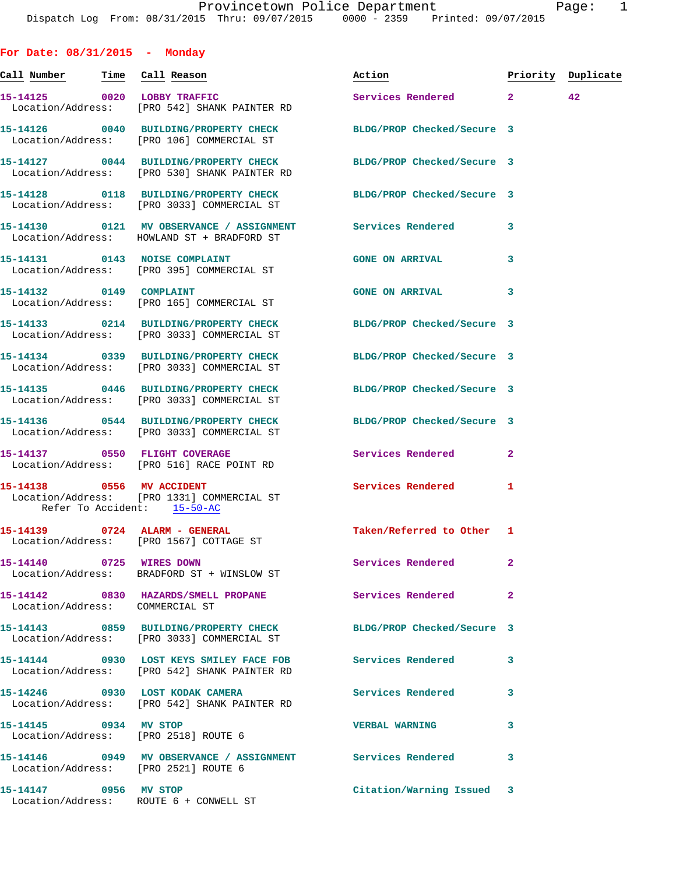| For Date: $08/31/2015$ - Monday                          |                                                                                                                |                            |              |                    |
|----------------------------------------------------------|----------------------------------------------------------------------------------------------------------------|----------------------------|--------------|--------------------|
|                                                          |                                                                                                                | Action                     |              | Priority Duplicate |
| 15-14125 0020 LOBBY TRAFFIC                              | Location/Address: [PRO 542] SHANK PAINTER RD                                                                   | Services Rendered 2 42     |              |                    |
|                                                          | 15-14126 0040 BUILDING/PROPERTY CHECK BLDG/PROP Checked/Secure 3<br>Location/Address: [PRO 106] COMMERCIAL ST  |                            |              |                    |
|                                                          | 15-14127 0044 BUILDING/PROPERTY CHECK<br>Location/Address: [PRO 530] SHANK PAINTER RD                          | BLDG/PROP Checked/Secure 3 |              |                    |
|                                                          | 15-14128 0118 BUILDING/PROPERTY CHECK BLDG/PROP Checked/Secure 3<br>Location/Address: [PRO 3033] COMMERCIAL ST |                            |              |                    |
|                                                          | 15-14130 0121 MV OBSERVANCE / ASSIGNMENT Services Rendered 3<br>Location/Address: HOWLAND ST + BRADFORD ST     |                            |              |                    |
|                                                          | 15-14131 0143 NOISE COMPLAINT<br>Location/Address: [PRO 395] COMMERCIAL ST                                     | <b>GONE ON ARRIVAL</b>     | 3            |                    |
| 15-14132 0149 COMPLAINT                                  | Location/Address: [PRO 165] COMMERCIAL ST                                                                      | <b>GONE ON ARRIVAL</b>     | 3            |                    |
|                                                          | 15-14133 0214 BUILDING/PROPERTY CHECK<br>Location/Address: [PRO 3033] COMMERCIAL ST                            | BLDG/PROP Checked/Secure 3 |              |                    |
|                                                          | 15-14134 0339 BUILDING/PROPERTY CHECK<br>Location/Address: [PRO 3033] COMMERCIAL ST                            | BLDG/PROP Checked/Secure 3 |              |                    |
|                                                          | 15-14135 0446 BUILDING/PROPERTY CHECK<br>Location/Address: [PRO 3033] COMMERCIAL ST                            | BLDG/PROP Checked/Secure 3 |              |                    |
|                                                          | 15-14136 0544 BUILDING/PROPERTY CHECK<br>Location/Address: [PRO 3033] COMMERCIAL ST                            | BLDG/PROP Checked/Secure 3 |              |                    |
|                                                          | 15-14137 0550 FLIGHT COVERAGE<br>Location/Address: [PRO 516] RACE POINT RD                                     | <b>Services Rendered</b>   | $\mathbf{2}$ |                    |
| 15-14138 0556 MV ACCIDENT<br>Refer To Accident: 15-50-AC | Location/Address: [PRO 1331] COMMERCIAL ST                                                                     | <b>Services Rendered</b>   | 1            |                    |
| 15-14139 0724 ALARM - GENERAL                            | Location/Address: [PRO 1567] COTTAGE ST                                                                        | Taken/Referred to Other 1  |              |                    |
| 15-14140 0725 WIRES DOWN                                 | Location/Address: BRADFORD ST + WINSLOW ST                                                                     | Services Rendered          | $\mathbf{2}$ |                    |
| Location/Address: COMMERCIAL ST                          | 15-14142 0830 HAZARDS/SMELL PROPANE                                                                            | Services Rendered          | $\mathbf{2}$ |                    |
|                                                          | 15-14143 0859 BUILDING/PROPERTY CHECK BLDG/PROP Checked/Secure 3<br>Location/Address: [PRO 3033] COMMERCIAL ST |                            |              |                    |
|                                                          | 15-14144 0930 LOST KEYS SMILEY FACE FOB Services Rendered<br>Location/Address: [PRO 542] SHANK PAINTER RD      |                            | 3            |                    |
|                                                          | 15-14246 0930 LOST KODAK CAMERA<br>Location/Address: [PRO 542] SHANK PAINTER RD                                | Services Rendered          | 3            |                    |
| 15-14145 0934 MV STOP                                    | Location/Address: [PRO 2518] ROUTE 6                                                                           | <b>VERBAL WARNING</b>      | 3            |                    |
| Location/Address: [PRO 2521] ROUTE 6                     | 15-14146 0949 MV OBSERVANCE / ASSIGNMENT Services Rendered                                                     |                            | 3            |                    |
| 15-14147 0956 MV STOP                                    | Location/Address: ROUTE 6 + CONWELL ST                                                                         | Citation/Warning Issued 3  |              |                    |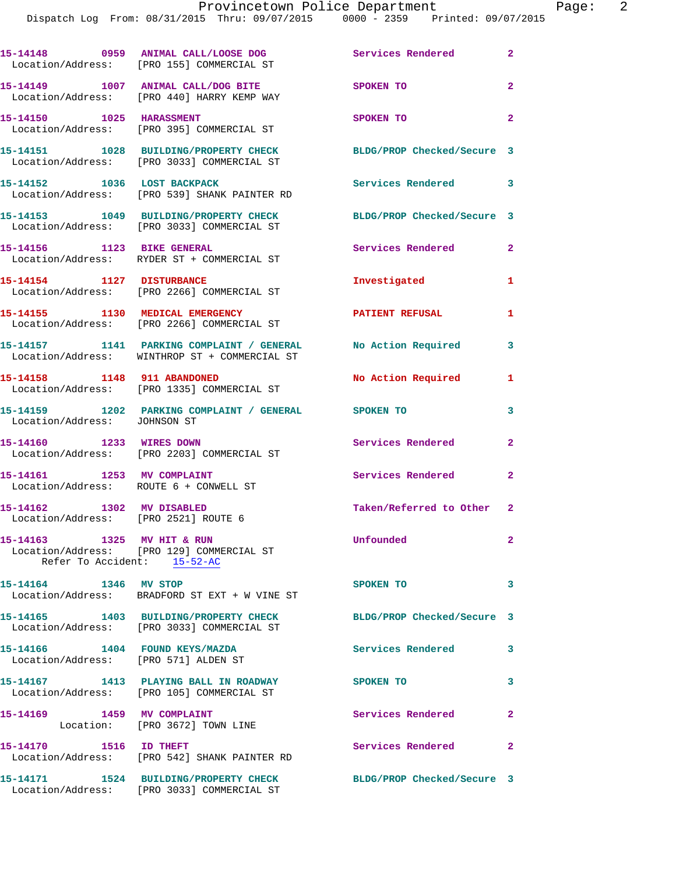|                                                                        | 15-14148 0959 ANIMAL CALL/LOOSE DOG Services Rendered<br>Location/Address: [PRO 155] COMMERCIAL ST |                            | $\mathbf{2}$            |
|------------------------------------------------------------------------|----------------------------------------------------------------------------------------------------|----------------------------|-------------------------|
|                                                                        | 15-14149 1007 ANIMAL CALL/DOG BITE<br>Location/Address: [PRO 440] HARRY KEMP WAY                   | SPOKEN TO                  | $\overline{a}$          |
| 15-14150 1025 HARASSMENT                                               | Location/Address: [PRO 395] COMMERCIAL ST                                                          | SPOKEN TO                  | $\overline{a}$          |
|                                                                        | 15-14151 1028 BUILDING/PROPERTY CHECK<br>Location/Address: [PRO 3033] COMMERCIAL ST                | BLDG/PROP Checked/Secure 3 |                         |
|                                                                        | 15-14152 1036 LOST BACKPACK<br>Location/Address: [PRO 539] SHANK PAINTER RD                        | <b>Services Rendered</b>   | $\overline{\mathbf{3}}$ |
|                                                                        | 15-14153 1049 BUILDING/PROPERTY CHECK<br>Location/Address: [PRO 3033] COMMERCIAL ST                | BLDG/PROP Checked/Secure 3 |                         |
|                                                                        | 15-14156 1123 BIKE GENERAL<br>Location/Address: RYDER ST + COMMERCIAL ST                           | <b>Services Rendered</b>   | $\mathbf{2}$            |
| 15-14154 1127 DISTURBANCE                                              | Location/Address: [PRO 2266] COMMERCIAL ST                                                         | Investigated               | 1                       |
|                                                                        | 15-14155 1130 MEDICAL EMERGENCY<br>Location/Address: [PRO 2266] COMMERCIAL ST                      | <b>PATIENT REFUSAL</b>     | 1                       |
|                                                                        | 15-14157 1141 PARKING COMPLAINT / GENERAL<br>Location/Address: WINTHROP ST + COMMERCIAL ST         | No Action Required         | 3                       |
|                                                                        | 15-14158 1148 911 ABANDONED<br>Location/Address: [PRO 1335] COMMERCIAL ST                          | No Action Required         | 1                       |
|                                                                        | 15-14159 1202 PARKING COMPLAINT / GENERAL SPOKEN TO<br>Location/Address: JOHNSON ST                |                            | 3                       |
| 15-14160 1233 WIRES DOWN                                               | Location/Address: [PRO 2203] COMMERCIAL ST                                                         | Services Rendered          | $\mathbf{2}$            |
| 15-14161 1253 MV COMPLAINT<br>Location/Address: ROUTE 6 + CONWELL ST   |                                                                                                    | Services Rendered          | $\overline{a}$          |
| 15-14162 1302 MV DISABLED<br>Location/Address: [PRO 2521] ROUTE 6      |                                                                                                    | Taken/Referred to Other 2  |                         |
| 15-14163 1325 MV HIT & RUN<br>Refer To Accident: 15-52-AC              | Location/Address: [PRO 129] COMMERCIAL ST                                                          | Unfounded                  | $\mathbf{2}$            |
| 15-14164 1346 MV STOP                                                  | Location/Address: BRADFORD ST EXT + W VINE ST                                                      | SPOKEN TO                  | 3                       |
|                                                                        | 15-14165 1403 BUILDING/PROPERTY CHECK<br>Location/Address: [PRO 3033] COMMERCIAL ST                | BLDG/PROP Checked/Secure 3 |                         |
| 15-14166 1404 FOUND KEYS/MAZDA<br>Location/Address: [PRO 571] ALDEN ST |                                                                                                    | Services Rendered          | 3                       |
|                                                                        | 15-14167 1413 PLAYING BALL IN ROADWAY<br>Location/Address: [PRO 105] COMMERCIAL ST                 | SPOKEN TO                  | 3                       |
| 15-14169 1459 MV COMPLAINT                                             | Location: [PRO 3672] TOWN LINE                                                                     | Services Rendered          | $\mathbf{2}$            |
| 15-14170 1516 ID THEFT                                                 | Location/Address: [PRO 542] SHANK PAINTER RD                                                       | Services Rendered          | $\mathbf{2}$            |
|                                                                        | 15-14171 1524 BUILDING/PROPERTY CHECK<br>Location/Address: [PRO 3033] COMMERCIAL ST                | BLDG/PROP Checked/Secure 3 |                         |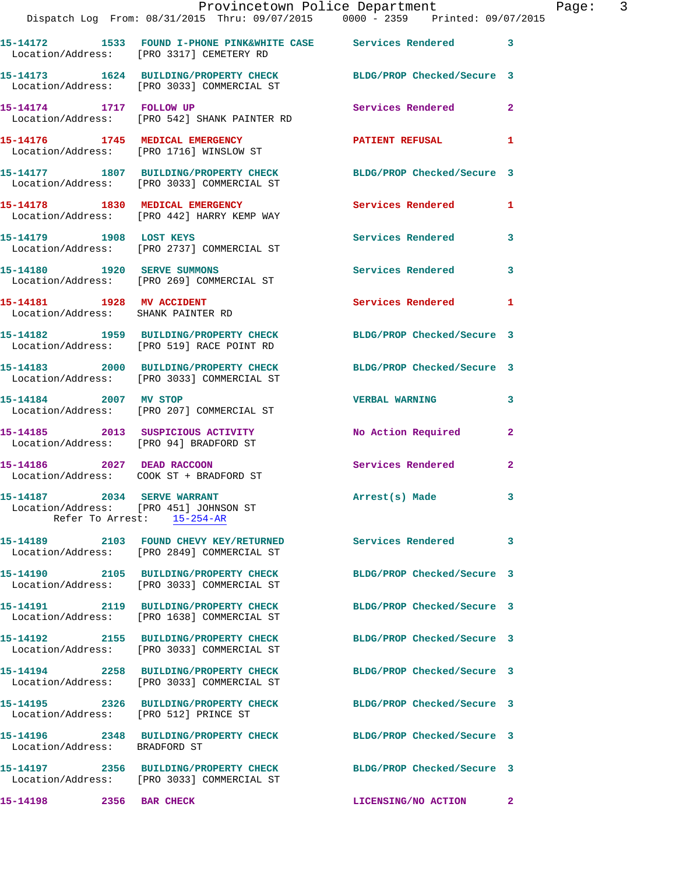|                                                                       | Provincetown Police Department<br>Dispatch Log From: 08/31/2015 Thru: 09/07/2015 0000 - 2359 Printed: 09/07/2015 |                            |              |
|-----------------------------------------------------------------------|------------------------------------------------------------------------------------------------------------------|----------------------------|--------------|
|                                                                       | 15-14172 1533 FOUND I-PHONE PINK&WHITE CASE Services Rendered<br>Location/Address: [PRO 3317] CEMETERY RD        |                            | 3            |
|                                                                       | 15-14173 1624 BUILDING/PROPERTY CHECK BLDG/PROP Checked/Secure 3<br>Location/Address: [PRO 3033] COMMERCIAL ST   |                            |              |
| 15-14174 1717 FOLLOW UP                                               | Location/Address: [PRO 542] SHANK PAINTER RD                                                                     | Services Rendered          | $\mathbf{2}$ |
|                                                                       | 15-14176 1745 MEDICAL EMERGENCY<br>Location/Address: [PRO 1716] WINSLOW ST                                       | <b>PATIENT REFUSAL</b>     | 1            |
|                                                                       | 15-14177 1807 BUILDING/PROPERTY CHECK<br>Location/Address: [PRO 3033] COMMERCIAL ST                              | BLDG/PROP Checked/Secure 3 |              |
|                                                                       | 15-14178 1830 MEDICAL EMERGENCY<br>Location/Address: [PRO 442] HARRY KEMP WAY                                    | Services Rendered          | 1            |
| 15-14179 1908 LOST KEYS                                               | Location/Address: [PRO 2737] COMMERCIAL ST                                                                       | <b>Services Rendered</b>   | 3            |
|                                                                       | 15-14180    1920    SERVE SUMMONS<br>Location/Address: [PRO 269] COMMERCIAL ST                                   | Services Rendered          | 3            |
| 15-14181    1928 MV ACCIDENT<br>Location/Address: SHANK PAINTER RD    |                                                                                                                  | Services Rendered          | 1            |
|                                                                       | 15-14182 1959 BUILDING/PROPERTY CHECK<br>Location/Address: [PRO 519] RACE POINT RD                               | BLDG/PROP Checked/Secure 3 |              |
|                                                                       | 15-14183 2000 BUILDING/PROPERTY CHECK BLDG/PROP Checked/Secure 3<br>Location/Address: [PRO 3033] COMMERCIAL ST   |                            |              |
| 15-14184 2007 MV STOP                                                 | Location/Address: [PRO 207] COMMERCIAL ST                                                                        | <b>VERBAL WARNING</b>      | 3            |
|                                                                       | 15-14185 2013 SUSPICIOUS ACTIVITY<br>Location/Address: [PRO 94] BRADFORD ST                                      | No Action Required         | $\mathbf{2}$ |
| 15-14186 2027 DEAD RACCOON<br>Location/Address: COOK ST + BRADFORD ST |                                                                                                                  | Services Rendered          | $\mathbf{2}$ |
| 15-14187 2034 SERVE WARRANT<br>Location/Address: [PRO 451] JOHNSON ST | Refer To Arrest: 15-254-AR                                                                                       | Arrest(s) Made             |              |
|                                                                       | 15-14189 2103 FOUND CHEVY KEY/RETURNED<br>Location/Address: [PRO 2849] COMMERCIAL ST                             | <b>Services Rendered</b>   | 3            |
|                                                                       | 15-14190 2105 BUILDING/PROPERTY CHECK<br>Location/Address: [PRO 3033] COMMERCIAL ST                              | BLDG/PROP Checked/Secure 3 |              |
|                                                                       | 15-14191 2119 BUILDING/PROPERTY CHECK<br>Location/Address: [PRO 1638] COMMERCIAL ST                              | BLDG/PROP Checked/Secure 3 |              |
| 15-14192                                                              | 2155 BUILDING/PROPERTY CHECK<br>Location/Address: [PRO 3033] COMMERCIAL ST                                       | BLDG/PROP Checked/Secure 3 |              |
|                                                                       | 15-14194 2258 BUILDING/PROPERTY CHECK<br>Location/Address: [PRO 3033] COMMERCIAL ST                              | BLDG/PROP Checked/Secure 3 |              |
| Location/Address: [PRO 512] PRINCE ST                                 | 15-14195 2326 BUILDING/PROPERTY CHECK                                                                            | BLDG/PROP Checked/Secure 3 |              |
| Location/Address: BRADFORD ST                                         | 15-14196 2348 BUILDING/PROPERTY CHECK                                                                            | BLDG/PROP Checked/Secure 3 |              |
|                                                                       | 15-14197 2356 BUILDING/PROPERTY CHECK<br>Location/Address: [PRO 3033] COMMERCIAL ST                              | BLDG/PROP Checked/Secure 3 |              |
| 15-14198 2356 BAR CHECK                                               |                                                                                                                  | LICENSING/NO ACTION        | $\mathbf{2}$ |

Page: 3<br>15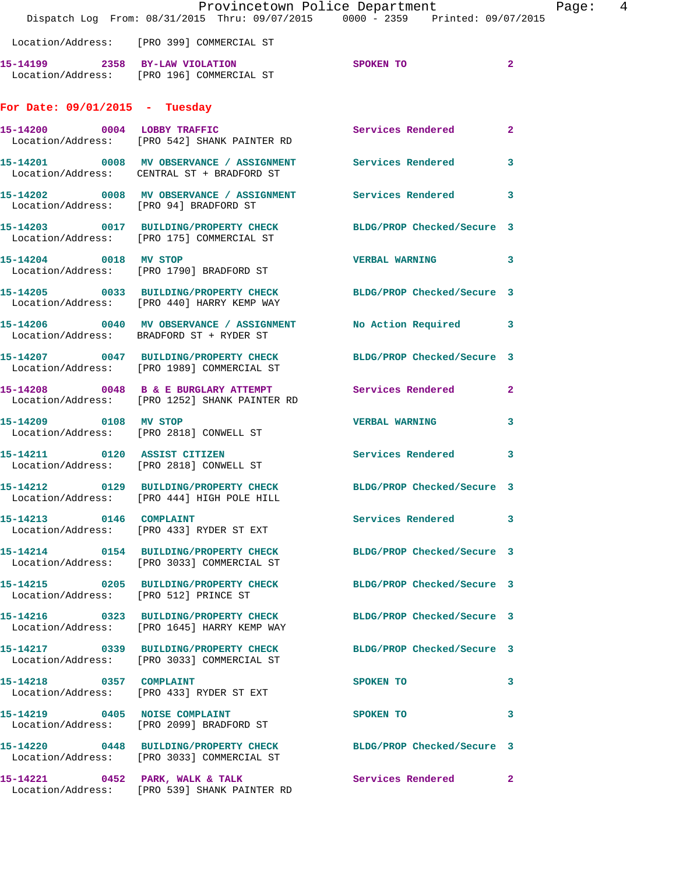|                                        | Provincetown Police Department<br>Dispatch Log From: 08/31/2015 Thru: 09/07/2015 0000 - 2359 Printed: 09/07/2015     |                            | Page: 4      |
|----------------------------------------|----------------------------------------------------------------------------------------------------------------------|----------------------------|--------------|
|                                        | Location/Address: [PRO 399] COMMERCIAL ST                                                                            |                            |              |
|                                        | 15-14199 2358 BY-LAW VIOLATION<br>Location/Address: [PRO 196] COMMERCIAL ST                                          | SPOKEN TO                  | $\mathbf{2}$ |
| For Date: $09/01/2015$ - Tuesday       |                                                                                                                      |                            |              |
|                                        | 15-14200 0004 LOBBY TRAFFIC<br>Location/Address: [PRO 542] SHANK PAINTER RD                                          | Services Rendered          | $\mathbf{2}$ |
|                                        | 15-14201 0008 MV OBSERVANCE / ASSIGNMENT Services Rendered<br>Location/Address: CENTRAL ST + BRADFORD ST             |                            | $\mathbf{3}$ |
| Location/Address: [PRO 94] BRADFORD ST | 15-14202 0008 MV OBSERVANCE / ASSIGNMENT Services Rendered                                                           |                            | $\mathbf{3}$ |
|                                        | 15-14203 0017 BUILDING/PROPERTY CHECK BLDG/PROP Checked/Secure 3<br>Location/Address: [PRO 175] COMMERCIAL ST        |                            |              |
|                                        | 15-14204 0018 MV STOP<br>Location/Address: [PRO 1790] BRADFORD ST                                                    | VERBAL WARNING 3           |              |
|                                        | 15-14205 0033 BUILDING/PROPERTY CHECK BLDG/PROP Checked/Secure 3<br>Location/Address: [PRO 440] HARRY KEMP WAY       |                            |              |
|                                        | 15-14206 0040 MV OBSERVANCE / ASSIGNMENT No Action Required 3<br>Location/Address: BRADFORD ST + RYDER ST            |                            |              |
|                                        | 15-14207 0047 BUILDING/PROPERTY CHECK<br>Location/Address: [PRO 1989] COMMERCIAL ST                                  | BLDG/PROP Checked/Secure 3 |              |
|                                        | 15-14208 0048 B & E BURGLARY ATTEMPT Services Rendered 2<br>Location/Address: [PRO 1252] SHANK PAINTER RD            |                            |              |
|                                        | 15-14209 0108 MV STOP<br>Location/Address: [PRO 2818] CONWELL ST                                                     | <b>VERBAL WARNING</b>      | 3            |
| 15-14211 0120 ASSIST CITIZEN           | Location/Address: [PRO 2818] CONWELL ST                                                                              | Services Rendered 3        |              |
|                                        | 15-14212 		 0129 BUILDING/PROPERTY CHECK 		 BLDG/PROP Checked/Secure 3<br>Location/Address: [PRO 444] HIGH POLE HILL |                            |              |
| 15-14213 0146 COMPLAINT                | Location/Address: [PRO 433] RYDER ST EXT                                                                             | Services Rendered 3        |              |
|                                        | 15-14214 0154 BUILDING/PROPERTY CHECK BLDG/PROP Checked/Secure 3<br>Location/Address: [PRO 3033] COMMERCIAL ST       |                            |              |
| Location/Address: [PRO 512] PRINCE ST  | 15-14215 0205 BUILDING/PROPERTY CHECK BLDG/PROP Checked/Secure 3                                                     |                            |              |
|                                        | 15-14216 0323 BUILDING/PROPERTY CHECK BLDG/PROP Checked/Secure 3<br>Location/Address: [PRO 1645] HARRY KEMP WAY      |                            |              |
|                                        | 15-14217 0339 BUILDING/PROPERTY CHECK BLDG/PROP Checked/Secure 3<br>Location/Address: [PRO 3033] COMMERCIAL ST       |                            |              |
|                                        | 15-14218 0357 COMPLAINT<br>Location/Address: [PRO 433] RYDER ST EXT                                                  | SPOKEN TO                  | 3            |
|                                        | 15-14219 0405 NOISE COMPLAINT<br>Location/Address: [PRO 2099] BRADFORD ST                                            | SPOKEN TO                  | $\mathbf{3}$ |
|                                        | 15-14220 0448 BUILDING/PROPERTY CHECK BLDG/PROP Checked/Secure 3<br>Location/Address: [PRO 3033] COMMERCIAL ST       |                            |              |
|                                        | 15-14221 0452 PARK, WALK & TALK<br>Location/Address: [PRO 539] SHANK PAINTER RD                                      | Services Rendered 2        |              |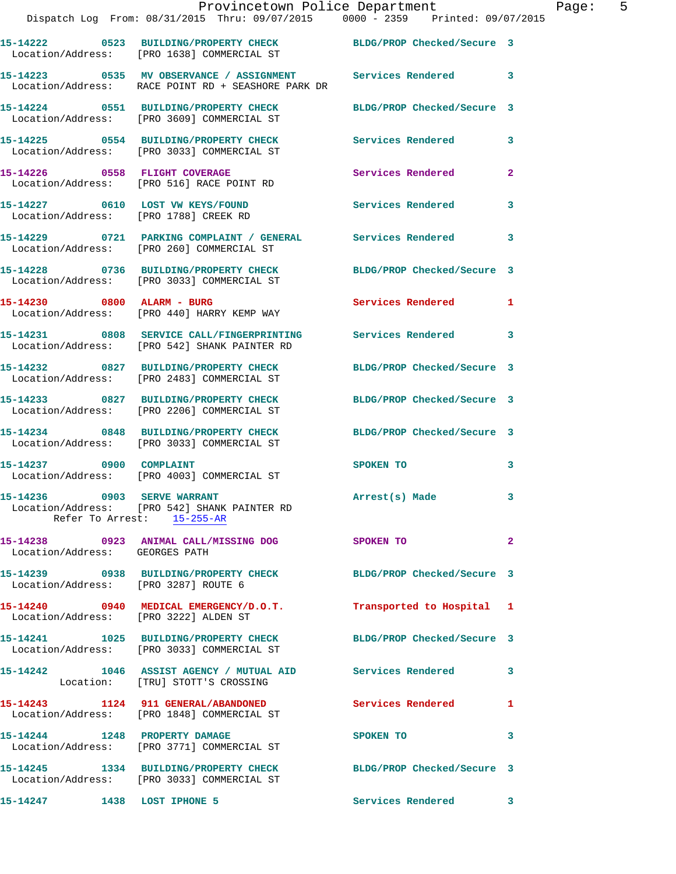|                                       | Dispatch Log From: 08/31/2015 Thru: 09/07/2015   0000 - 2359   Printed: 09/07/2015                                    | Provincetown Police Department          |              | Page: 5 |  |
|---------------------------------------|-----------------------------------------------------------------------------------------------------------------------|-----------------------------------------|--------------|---------|--|
|                                       | 15-14222 0523 BUILDING/PROPERTY CHECK BLDG/PROP Checked/Secure 3<br>Location/Address: [PRO 1638] COMMERCIAL ST        |                                         |              |         |  |
|                                       | 15-14223 0535 MV OBSERVANCE / ASSIGNMENT Services Rendered 3<br>Location/Address: RACE POINT RD + SEASHORE PARK DR    |                                         |              |         |  |
|                                       | 15-14224 0551 BUILDING/PROPERTY CHECK BLDG/PROP Checked/Secure 3<br>Location/Address: [PRO 3609] COMMERCIAL ST        |                                         |              |         |  |
|                                       | 15-14225 0554 BUILDING/PROPERTY CHECK Services Rendered 3<br>Location/Address: [PRO 3033] COMMERCIAL ST               |                                         |              |         |  |
|                                       | 15-14226 0558 FLIGHT COVERAGE<br>Location/Address: [PRO 516] RACE POINT RD                                            | Services Rendered                       | $\mathbf{2}$ |         |  |
|                                       | 15-14227 0610 LOST VW KEYS/FOUND Services Rendered<br>Location/Address: [PRO 1788] CREEK RD                           |                                         | $\mathbf{3}$ |         |  |
|                                       | 15-14229     0721   PARKING COMPLAINT / GENERAL      Services Rendered<br>Location/Address:   [PRO 260] COMMERCIAL ST |                                         | $\mathbf{3}$ |         |  |
|                                       | 15-14228 0736 BUILDING/PROPERTY CHECK BLDG/PROP Checked/Secure 3<br>Location/Address: [PRO 3033] COMMERCIAL ST        |                                         |              |         |  |
|                                       | 15-14230 0800 ALARM - BURG<br>Location/Address: [PRO 440] HARRY KEMP WAY                                              | <b>Services Rendered</b> 1              |              |         |  |
|                                       | 15-14231 0808 SERVICE CALL/FINGERPRINTING Services Rendered<br>Location/Address: [PRO 542] SHANK PAINTER RD           |                                         | $\mathbf{3}$ |         |  |
|                                       | 15-14232 0827 BUILDING/PROPERTY CHECK BLDG/PROP Checked/Secure 3<br>Location/Address: [PRO 2483] COMMERCIAL ST        |                                         |              |         |  |
|                                       | 15-14233 0827 BUILDING/PROPERTY CHECK BLDG/PROP Checked/Secure 3<br>Location/Address: [PRO 2206] COMMERCIAL ST        |                                         |              |         |  |
|                                       | 15-14234 0848 BUILDING/PROPERTY CHECK BLDG/PROP Checked/Secure 3<br>Location/Address: [PRO 3033] COMMERCIAL ST        |                                         |              |         |  |
|                                       | 15-14237 0900 COMPLAINT<br>Location/Address: [PRO 4003] COMMERCIAL ST                                                 | SPOKEN TO                               | 3            |         |  |
|                                       | Location/Address: [PRO 542] SHANK PAINTER RD<br>Refer To Arrest: 15-255-AR                                            | Arrest(s) Made                          |              |         |  |
| Location/Address: GEORGES PATH        | 15-14238 0923 ANIMAL CALL/MISSING DOG SPOKEN TO                                                                       |                                         | $\mathbf{2}$ |         |  |
| Location/Address: [PRO 3287] ROUTE 6  | 15-14239 0938 BUILDING/PROPERTY CHECK BLDG/PROP Checked/Secure 3                                                      |                                         |              |         |  |
| Location/Address: [PRO 3222] ALDEN ST | 15-14240 0940 MEDICAL EMERGENCY/D.O.T. Transported to Hospital 1                                                      |                                         |              |         |  |
|                                       | 15-14241 1025 BUILDING/PROPERTY CHECK BLDG/PROP Checked/Secure 3<br>Location/Address: [PRO 3033] COMMERCIAL ST        |                                         |              |         |  |
|                                       | 15-14242 1046 ASSIST AGENCY / MUTUAL AID Services Rendered 3<br>Location: [TRU] STOTT'S CROSSING                      |                                         |              |         |  |
|                                       | 15-14243 1124 911 GENERAL/ABANDONED Services Rendered 1<br>Location/Address: [PRO 1848] COMMERCIAL ST                 |                                         |              |         |  |
|                                       | 15-14244 1248 PROPERTY DAMAGE<br>Location/Address: [PRO 3771] COMMERCIAL ST                                           | SPOKEN TO DESCRIPTION OF REAL PROPERTY. | 3            |         |  |
|                                       | 15-14245 1334 BUILDING/PROPERTY CHECK BLDG/PROP Checked/Secure 3<br>Location/Address: [PRO 3033] COMMERCIAL ST        |                                         |              |         |  |
|                                       |                                                                                                                       | Services Rendered                       | 3            |         |  |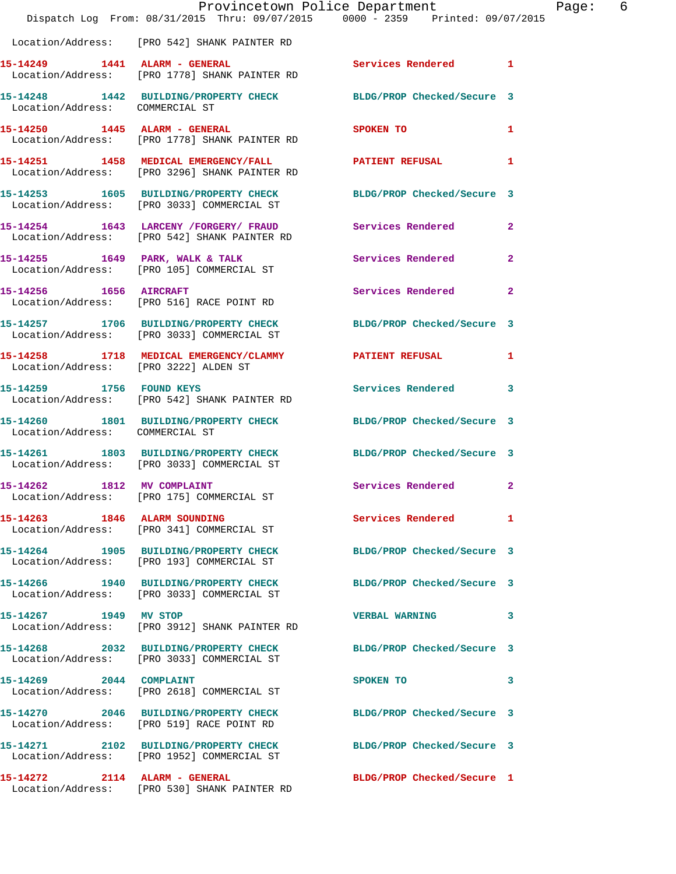|                                 | Provincetown Police Department<br>Dispatch Log From: 08/31/2015 Thru: 09/07/2015 0000 - 2359 Printed: 09/07/2015 |                             | Page: 6      |  |
|---------------------------------|------------------------------------------------------------------------------------------------------------------|-----------------------------|--------------|--|
|                                 | Location/Address: [PRO 542] SHANK PAINTER RD                                                                     |                             |              |  |
|                                 | 15-14249 1441 ALARM - GENERAL Services Rendered 1<br>Location/Address: [PRO 1778] SHANK PAINTER RD               |                             |              |  |
| Location/Address: COMMERCIAL ST | 15-14248 1442 BUILDING/PROPERTY CHECK BLDG/PROP Checked/Secure 3                                                 |                             |              |  |
|                                 | 15-14250 1445 ALARM - GENERAL<br>Location/Address: [PRO 1778] SHANK PAINTER RD                                   | SPOKEN TO AND THE SPOKEN TO | $\mathbf{1}$ |  |
|                                 | 15-14251 1458 MEDICAL EMERGENCY/FALL 2 PATIENT REFUSAL 1<br>Location/Address: [PRO 3296] SHANK PAINTER RD        |                             |              |  |
|                                 | 15-14253 1605 BUILDING/PROPERTY CHECK BLDG/PROP Checked/Secure 3<br>Location/Address: [PRO 3033] COMMERCIAL ST   |                             |              |  |
|                                 | 15-14254 1643 LARCENY /FORGERY / FRAUD Services Rendered 2<br>Location/Address: [PRO 542] SHANK PAINTER RD       |                             |              |  |
|                                 | 15-14255 1649 PARK, WALK & TALK<br>Location/Address: [PRO 105] COMMERCIAL ST                                     | Services Rendered 2         |              |  |
|                                 | 15-14256    1656    AIRCRAFT<br>Location/Address: [PRO 516] RACE POINT RD                                        | Services Rendered 2         |              |  |
|                                 | 15-14257 1706 BUILDING/PROPERTY CHECK BLDG/PROP Checked/Secure 3<br>Location/Address: [PRO 3033] COMMERCIAL ST   |                             |              |  |
|                                 | 15-14258 1718 MEDICAL EMERGENCY/CLAMMY PATIENT REFUSAL 1<br>Location/Address: [PRO 3222] ALDEN ST                |                             |              |  |
| 15-14259 1756 FOUND KEYS        | Location/Address: [PRO 542] SHANK PAINTER RD                                                                     | Services Rendered 3         |              |  |
| Location/Address: COMMERCIAL ST | 15-14260 1801 BUILDING/PROPERTY CHECK BLDG/PROP Checked/Secure 3                                                 |                             |              |  |
|                                 | 15-14261 1803 BUILDING/PROPERTY CHECK BLDG/PROP Checked/Secure 3<br>Location/Address: [PRO 3033] COMMERCIAL ST   |                             |              |  |
|                                 | 15-14262 1812 MV COMPLAINT<br>Location/Address: [PRO 175] COMMERCIAL ST                                          | Services Rendered           | $\mathbf{2}$ |  |
|                                 | 15-14263 1846 ALARM SOUNDING<br>Location/Address: [PRO 341] COMMERCIAL ST                                        | Services Rendered 1         |              |  |
|                                 | 15-14264 1905 BUILDING/PROPERTY CHECK BLDG/PROP Checked/Secure 3<br>Location/Address: [PRO 193] COMMERCIAL ST    |                             |              |  |
|                                 | 15-14266 1940 BUILDING/PROPERTY CHECK<br>Location/Address: [PRO 3033] COMMERCIAL ST                              | BLDG/PROP Checked/Secure 3  |              |  |
| 15-14267 1949 MV STOP           | Location/Address: [PRO 3912] SHANK PAINTER RD                                                                    | <b>VERBAL WARNING</b>       | 3            |  |
|                                 | 15-14268 2032 BUILDING/PROPERTY CHECK BLDG/PROP Checked/Secure 3<br>Location/Address: [PRO 3033] COMMERCIAL ST   |                             |              |  |
|                                 | 15-14269 2044 COMPLAINT<br>Location/Address: [PRO 2618] COMMERCIAL ST                                            | SPOKEN TO                   | 3            |  |
|                                 | 15-14270 2046 BUILDING/PROPERTY CHECK BLDG/PROP Checked/Secure 3<br>Location/Address: [PRO 519] RACE POINT RD    |                             |              |  |
|                                 | 15-14271 2102 BUILDING/PROPERTY CHECK BLDG/PROP Checked/Secure 3<br>Location/Address: [PRO 1952] COMMERCIAL ST   |                             |              |  |
| 15-14272 2114 ALARM - GENERAL   | Location/Address: [PRO 530] SHANK PAINTER RD                                                                     | BLDG/PROP Checked/Secure 1  |              |  |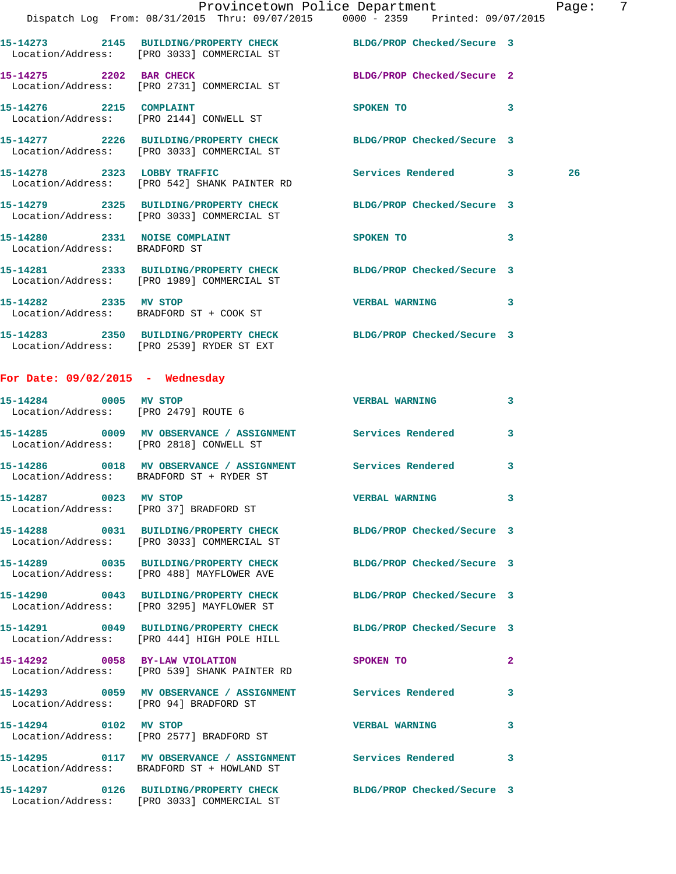|                                                                |                                                                                                                | Provincetown Police Department |                         | Page: | -7 |
|----------------------------------------------------------------|----------------------------------------------------------------------------------------------------------------|--------------------------------|-------------------------|-------|----|
|                                                                | Dispatch Log From: 08/31/2015 Thru: 09/07/2015 0000 - 2359 Printed: 09/07/2015                                 |                                |                         |       |    |
|                                                                | 15-14273 2145 BUILDING/PROPERTY CHECK BLDG/PROP Checked/Secure 3<br>Location/Address: [PRO 3033] COMMERCIAL ST |                                |                         |       |    |
| 15-14275 2202 BAR CHECK                                        | Location/Address: [PRO 2731] COMMERCIAL ST                                                                     | BLDG/PROP Checked/Secure 2     |                         |       |    |
| 15-14276 2215 COMPLAINT                                        | Location/Address: [PRO 2144] CONWELL ST                                                                        | SPOKEN TO 3                    |                         |       |    |
|                                                                | 15-14277 2226 BUILDING/PROPERTY CHECK<br>Location/Address: [PRO 3033] COMMERCIAL ST                            | BLDG/PROP Checked/Secure 3     |                         |       |    |
|                                                                | 15-14278 2323 LOBBY TRAFFIC<br>Location/Address: [PRO 542] SHANK PAINTER RD                                    | Services Rendered 3            |                         | 26    |    |
|                                                                | 15-14279 2325 BUILDING/PROPERTY CHECK BLDG/PROP Checked/Secure 3<br>Location/Address: [PRO 3033] COMMERCIAL ST |                                |                         |       |    |
| 15-14280 2331 NOISE COMPLAINT<br>Location/Address: BRADFORD ST |                                                                                                                | SPOKEN TO                      | $\overline{\mathbf{3}}$ |       |    |
|                                                                | 15-14281 2333 BUILDING/PROPERTY CHECK BLDG/PROP Checked/Secure 3<br>Location/Address: [PRO 1989] COMMERCIAL ST |                                |                         |       |    |
| 15-14282 2335 MV STOP                                          | Location/Address: BRADFORD ST + COOK ST                                                                        | VERBAL WARNING 3               |                         |       |    |
|                                                                | 15-14283 2350 BUILDING/PROPERTY CHECK BLDG/PROP Checked/Secure 3<br>Location/Address: [PRO 2539] RYDER ST EXT  |                                |                         |       |    |
| For Date: $09/02/2015$ - Wednesday                             |                                                                                                                |                                |                         |       |    |
| 15-14284 0005 MV STOP                                          | Location/Address: [PRO 2479] ROUTE 6                                                                           | VERBAL WARNING 3               |                         |       |    |
|                                                                | 15-14285 0009 MV OBSERVANCE / ASSIGNMENT Services Rendered 3<br>Location/Address: [PRO 2818] CONWELL ST        |                                |                         |       |    |
|                                                                | 15-14286 0018 MV OBSERVANCE / ASSIGNMENT Services Rendered<br>Location/Address: BRADFORD ST + RYDER ST         |                                | $\overline{\mathbf{3}}$ |       |    |
| 15-14287 0023 MV STOP                                          | Location/Address: [PRO 37] BRADFORD ST                                                                         | VERBAL WARNING 3               |                         |       |    |
|                                                                | 15-14288 0031 BUILDING/PROPERTY CHECK BLDG/PROP Checked/Secure 3<br>Location/Address: [PRO 3033] COMMERCIAL ST |                                |                         |       |    |

**15-14289 0035 BUILDING/PROPERTY CHECK BLDG/PROP Checked/Secure 3**  Location/Address: [PRO 488] MAYFLOWER AVE

Location/Address: [PRO 3295] MAYFLOWER ST

**15-14291 0049 BUILDING/PROPERTY CHECK BLDG/PROP Checked/Secure 3**  Location/Address: [PRO 444] HIGH POLE HILL

Location/Address: [PRO 539] SHANK PAINTER RD

Location/Address: [PRO 94] BRADFORD ST

**15-14294 0102 MV STOP VERBAL WARNING 3** 

Location/Address: [PRO 2577] BRADFORD ST

Location/Address: [PRO 3033] COMMERCIAL ST

Location/Address: BRADFORD ST + HOWLAND ST

**15-14290 0043 BUILDING/PROPERTY CHECK BLDG/PROP Checked/Secure 3** 

**15-14292 0058 BY-LAW VIOLATION SPOKEN TO 2** 

**15-14293 0059 MV OBSERVANCE / ASSIGNMENT Services Rendered 3** 

**15-14295 0117 MV OBSERVANCE / ASSIGNMENT Services Rendered 3** 

**15-14297 0126 BUILDING/PROPERTY CHECK BLDG/PROP Checked/Secure 3**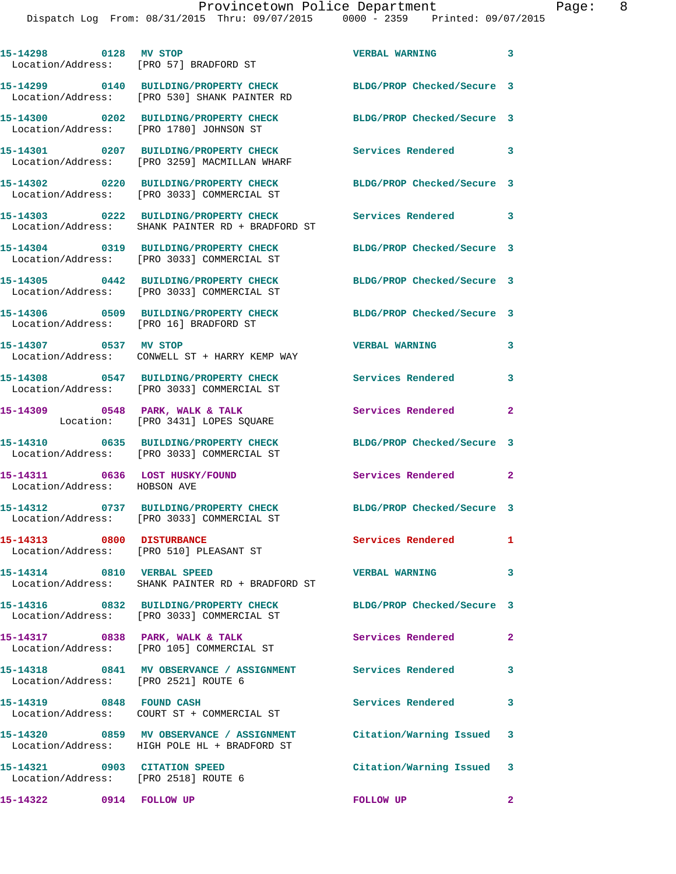| 15-14298 0128 MV STOP                                                | Location/Address: [PRO 57] BRADFORD ST                                                                           | VERBAL WARNING 3           |                            |
|----------------------------------------------------------------------|------------------------------------------------------------------------------------------------------------------|----------------------------|----------------------------|
|                                                                      | 15-14299 0140 BUILDING/PROPERTY CHECK BLDG/PROP Checked/Secure 3<br>Location/Address: [PRO 530] SHANK PAINTER RD |                            |                            |
|                                                                      | 15-14300 0202 BUILDING/PROPERTY CHECK<br>Location/Address: [PRO 1780] JOHNSON ST                                 | BLDG/PROP Checked/Secure 3 |                            |
|                                                                      | 15-14301 0207 BUILDING/PROPERTY CHECK<br>Location/Address: [PRO 3259] MACMILLAN WHARF                            | <b>Services Rendered</b>   | $\overline{\phantom{a}}$ 3 |
|                                                                      | 15-14302 0220 BUILDING/PROPERTY CHECK<br>Location/Address: [PRO 3033] COMMERCIAL ST                              | BLDG/PROP Checked/Secure 3 |                            |
|                                                                      | 15-14303 0222 BUILDING/PROPERTY CHECK<br>Location/Address: SHANK PAINTER RD + BRADFORD ST                        | <b>Services Rendered</b> 3 |                            |
|                                                                      | 15-14304 0319 BUILDING/PROPERTY CHECK<br>Location/Address: [PRO 3033] COMMERCIAL ST                              | BLDG/PROP Checked/Secure 3 |                            |
|                                                                      | 15-14305 0442 BUILDING/PROPERTY CHECK<br>Location/Address: [PRO 3033] COMMERCIAL ST                              | BLDG/PROP Checked/Secure 3 |                            |
| Location/Address: [PRO 16] BRADFORD ST                               | 15-14306 0509 BUILDING/PROPERTY CHECK BLDG/PROP Checked/Secure 3                                                 |                            |                            |
| 15-14307 0537 MV STOP                                                | Location/Address: CONWELL ST + HARRY KEMP WAY                                                                    | <b>VERBAL WARNING</b>      | 3                          |
|                                                                      | 15-14308 0547 BUILDING/PROPERTY CHECK<br>Location/Address: [PRO 3033] COMMERCIAL ST                              | <b>Services Rendered</b>   | $\overline{\mathbf{3}}$    |
|                                                                      | 15-14309 0548 PARK, WALK & TALK<br>Location: [PRO 3431] LOPES SQUARE                                             | Services Rendered          | $\overline{\phantom{0}}$ 2 |
|                                                                      | 15-14310 0635 BUILDING/PROPERTY CHECK<br>Location/Address: [PRO 3033] COMMERCIAL ST                              | BLDG/PROP Checked/Secure 3 |                            |
| Location/Address: HOBSON AVE                                         | 15-14311 0636 LOST HUSKY/FOUND                                                                                   | Services Rendered          | $\overline{\phantom{0}}$ 2 |
|                                                                      | 15-14312 0737 BUILDING/PROPERTY CHECK BLDG/PROP Checked/Secure 3<br>Location/Address: [PRO 3033] COMMERCIAL ST   |                            |                            |
| 15-14313 0800 DISTURBANCE                                            | Location/Address: [PRO 510] PLEASANT ST                                                                          | Services Rendered          | $\mathbf{1}$               |
| 15-14314 0810 VERBAL SPEED                                           | Location/Address: SHANK PAINTER RD + BRADFORD ST                                                                 | VERBAL WARNING 3           |                            |
|                                                                      | 15-14316 0832 BUILDING/PROPERTY CHECK BLDG/PROP Checked/Secure 3<br>Location/Address: [PRO 3033] COMMERCIAL ST   |                            |                            |
|                                                                      | 15-14317 0838 PARK, WALK & TALK<br>Location/Address: [PRO 105] COMMERCIAL ST                                     | Services Rendered 2        |                            |
| Location/Address: [PRO 2521] ROUTE 6                                 | 15-14318 0841 MV OBSERVANCE / ASSIGNMENT Services Rendered                                                       |                            | $\overline{\mathbf{3}}$    |
| 15-14319 0848 FOUND CASH                                             | Location/Address: COURT ST + COMMERCIAL ST                                                                       | Services Rendered          | $\overline{\phantom{a}}$ 3 |
|                                                                      | 15-14320 0859 MV OBSERVANCE / ASSIGNMENT<br>Location/Address: HIGH POLE HL + BRADFORD ST                         | Citation/Warning Issued 3  |                            |
| 15-14321 0903 CITATION SPEED<br>Location/Address: [PRO 2518] ROUTE 6 |                                                                                                                  | Citation/Warning Issued 3  |                            |
| 15-14322 0914 FOLLOW UP                                              |                                                                                                                  | FOLLOW UP                  | $\overline{\mathbf{2}}$    |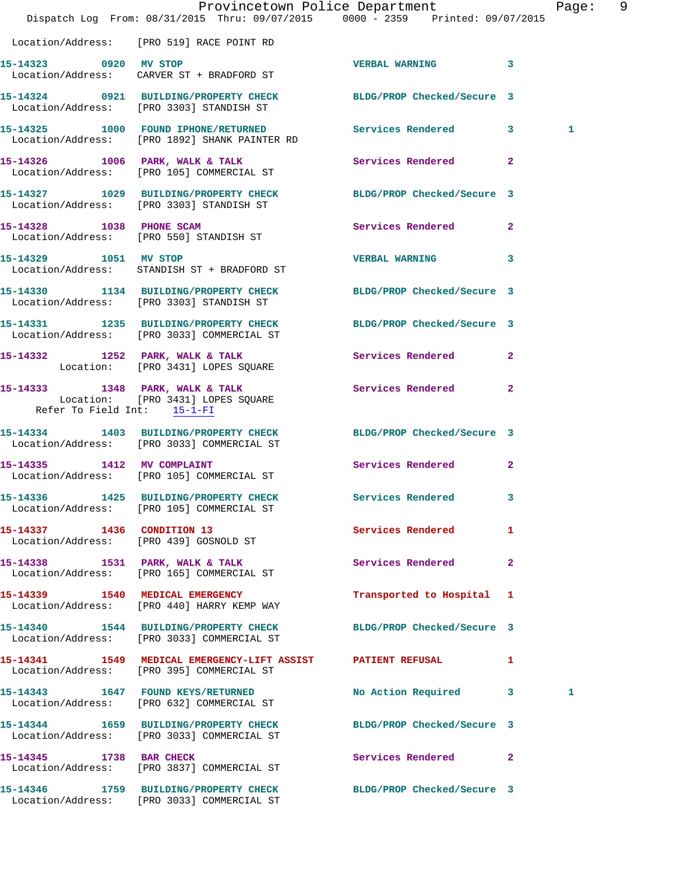|                             | Provincetown Police Department<br>Dispatch Log From: 08/31/2015 Thru: 09/07/2015 0000 - 2359 Printed: 09/07/2015 |                            |                | Page: 9 |  |
|-----------------------------|------------------------------------------------------------------------------------------------------------------|----------------------------|----------------|---------|--|
|                             | Location/Address: [PRO 519] RACE POINT RD                                                                        |                            |                |         |  |
|                             | 15-14323 0920 MV STOP<br>Location/Address: CARVER ST + BRADFORD ST                                               | VERBAL WARNING 3           |                |         |  |
|                             | 15-14324 0921 BUILDING/PROPERTY CHECK BLDG/PROP Checked/Secure 3<br>Location/Address: [PRO 3303] STANDISH ST     |                            |                |         |  |
|                             | 15-14325 1000 FOUND IPHONE/RETURNED<br>Location/Address: [PRO 1892] SHANK PAINTER RD                             | Services Rendered 3        |                | 1       |  |
|                             | 15-14326 1006 PARK, WALK & TALK 1999 Services Rendered 2<br>Location/Address: [PRO 105] COMMERCIAL ST            |                            |                |         |  |
|                             | 15-14327 1029 BUILDING/PROPERTY CHECK BLDG/PROP Checked/Secure 3<br>Location/Address: [PRO 3303] STANDISH ST     |                            |                |         |  |
|                             | 15-14328 1038 PHONE SCAM<br>Location/Address: [PRO 550] STANDISH ST                                              | Services Rendered 2        |                |         |  |
| 15-14329 1051 MV STOP       | Location/Address: STANDISH ST + BRADFORD ST                                                                      | VERBAL WARNING 3           |                |         |  |
|                             | 15-14330 1134 BUILDING/PROPERTY CHECK BLDG/PROP Checked/Secure 3<br>Location/Address: [PRO 3303] STANDISH ST     |                            |                |         |  |
|                             | 15-14331 1235 BUILDING/PROPERTY CHECK BLDG/PROP Checked/Secure 3<br>Location/Address: [PRO 3033] COMMERCIAL ST   |                            |                |         |  |
|                             | 15-14332 1252 PARK, WALK & TALK<br>Location: [PRO 3431] LOPES SQUARE                                             | Services Rendered 2        |                |         |  |
| Refer To Field Int: 15-1-FI | 15-14333 1348 PARK, WALK & TALK 1988 Services Rendered 2<br>Location: [PRO 3431] LOPES SQUARE                    |                            |                |         |  |
|                             | 15-14334 1403 BUILDING/PROPERTY CHECK BLDG/PROP Checked/Secure 3<br>Location/Address: [PRO 3033] COMMERCIAL ST   |                            |                |         |  |
|                             | 15-14335 1412 MV COMPLAINT<br>Location/Address: [PRO 105] COMMERCIAL ST                                          | Services Rendered 2        |                |         |  |
|                             | 15-14336 1425 BUILDING/PROPERTY CHECK<br>Location/Address: [PRO 105] COMMERCIAL ST                               | Services Rendered          | $\mathbf{3}$   |         |  |
|                             | 15-14337 1436 CONDITION 13<br>Location/Address: [PRO 439] GOSNOLD ST                                             | Services Rendered 1        |                |         |  |
|                             | 15-14338 1531 PARK, WALK & TALK<br>Location/Address: [PRO 165] COMMERCIAL ST                                     | Services Rendered          | $\overline{2}$ |         |  |
|                             | 15-14339 1540 MEDICAL EMERGENCY<br>Location/Address: [PRO 440] HARRY KEMP WAY                                    | Transported to Hospital 1  |                |         |  |
|                             | 15-14340 1544 BUILDING/PROPERTY CHECK<br>Location/Address: [PRO 3033] COMMERCIAL ST                              | BLDG/PROP Checked/Secure 3 |                |         |  |
|                             | 15-14341 1549 MEDICAL EMERGENCY-LIFT ASSIST PATIENT REFUSAL<br>Location/Address: [PRO 395] COMMERCIAL ST         |                            | $\mathbf{1}$   |         |  |
|                             | 15-14343 1647 FOUND KEYS/RETURNED<br>Location/Address: [PRO 632] COMMERCIAL ST                                   | No Action Required 3       |                | 1       |  |
|                             | 15-14344 1659 BUILDING/PROPERTY CHECK BLDG/PROP Checked/Secure 3<br>Location/Address: [PRO 3033] COMMERCIAL ST   |                            |                |         |  |
|                             | 15-14345 1738 BAR CHECK<br>Location/Address: [PRO 3837] COMMERCIAL ST                                            | Services Rendered          | $\mathbf{2}$   |         |  |
|                             | 15-14346 1759 BUILDING/PROPERTY CHECK<br>Location/Address: [PRO 3033] COMMERCIAL ST                              | BLDG/PROP Checked/Secure 3 |                |         |  |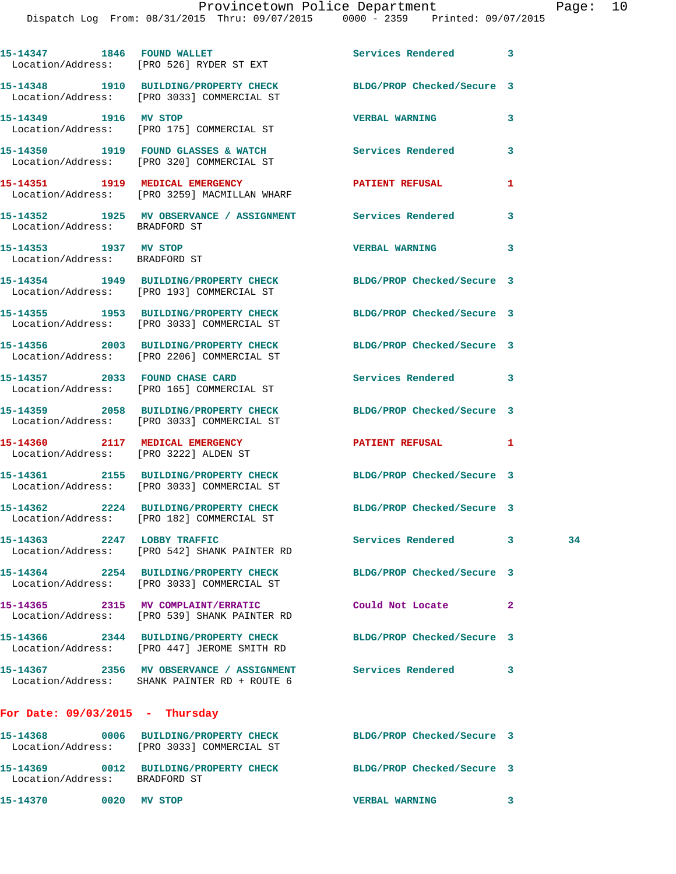|                                                                          | 15-14347 1846 FOUND WALLET<br>Location/Address: [PRO 526] RYDER ST EXT                                          | Services Rendered 3           |              |    |
|--------------------------------------------------------------------------|-----------------------------------------------------------------------------------------------------------------|-------------------------------|--------------|----|
|                                                                          | 15-14348 1910 BUILDING/PROPERTY CHECK<br>Location/Address: [PRO 3033] COMMERCIAL ST                             | BLDG/PROP Checked/Secure 3    |              |    |
| 15-14349 1916 MV STOP                                                    | Location/Address: [PRO 175] COMMERCIAL ST                                                                       | <b>VERBAL WARNING</b>         | 3            |    |
|                                                                          | 15-14350 1919 FOUND GLASSES & WATCH<br>Location/Address: [PRO 320] COMMERCIAL ST                                | <b>Services Rendered</b>      | 3            |    |
|                                                                          | 15-14351 1919 MEDICAL EMERGENCY<br>Location/Address: [PRO 3259] MACMILLAN WHARF                                 | <b>PATIENT REFUSAL</b>        | 1            |    |
| Location/Address: BRADFORD ST                                            | 15-14352 1925 MV OBSERVANCE / ASSIGNMENT Services Rendered                                                      |                               | 3            |    |
| 15-14353 1937 MV STOP<br>Location/Address: BRADFORD ST                   |                                                                                                                 | <b>VERBAL WARNING</b>         | 3            |    |
|                                                                          | 15-14354 1949 BUILDING/PROPERTY CHECK<br>Location/Address: [PRO 193] COMMERCIAL ST                              | BLDG/PROP Checked/Secure 3    |              |    |
|                                                                          | 15-14355 1953 BUILDING/PROPERTY CHECK<br>Location/Address: [PRO 3033] COMMERCIAL ST                             | BLDG/PROP Checked/Secure 3    |              |    |
|                                                                          | 15-14356 2003 BUILDING/PROPERTY CHECK<br>Location/Address: [PRO 2206] COMMERCIAL ST                             | BLDG/PROP Checked/Secure 3    |              |    |
|                                                                          | 15-14357 2033 FOUND CHASE CARD<br>Location/Address: [PRO 165] COMMERCIAL ST                                     | Services Rendered 3           |              |    |
|                                                                          | 15-14359 2058 BUILDING/PROPERTY CHECK<br>Location/Address: [PRO 3033] COMMERCIAL ST                             | BLDG/PROP Checked/Secure 3    |              |    |
| 15-14360 2117 MEDICAL EMERGENCY<br>Location/Address: [PRO 3222] ALDEN ST |                                                                                                                 | PATIENT REFUSAL               | 1            |    |
|                                                                          | 15-14361 2155 BUILDING/PROPERTY CHECK<br>Location/Address: [PRO 3033] COMMERCIAL ST                             | BLDG/PROP Checked/Secure 3    |              |    |
|                                                                          | 15-14362 2224 BUILDING/PROPERTY CHECK<br>Location/Address: [PRO 182] COMMERCIAL ST                              | BLDG/PROP Checked/Secure 3    |              |    |
|                                                                          | $15-14363$ 2247 LOBBY TRAFFIC<br>Location/Address: [PRO 542] SHANK PAINTER RD                                   | Services Rendered<br>$\sim$ 3 |              | 34 |
|                                                                          | 15-14364 2254 BUILDING/PROPERTY CHECK<br>Location/Address: [PRO 3033] COMMERCIAL ST                             | BLDG/PROP Checked/Secure 3    |              |    |
|                                                                          | 15-14365 2315 MV COMPLAINT/ERRATIC<br>Location/Address: [PRO 539] SHANK PAINTER RD                              | Could Not Locate              | $\mathbf{2}$ |    |
|                                                                          | 15-14366 2344 BUILDING/PROPERTY CHECK BLDG/PROP Checked/Secure 3<br>Location/Address: [PRO 447] JEROME SMITH RD |                               |              |    |
|                                                                          | 15-14367 2356 MV OBSERVANCE / ASSIGNMENT Services Rendered<br>Location/Address: SHANK PAINTER RD + ROUTE 6      |                               | 3            |    |
| For Date: $09/03/2015$ - Thursday                                        |                                                                                                                 |                               |              |    |
|                                                                          | 15-14368 0006 BUILDING/PROPERTY CHECK<br>Location/Address: [PRO 3033] COMMERCIAL ST                             | BLDG/PROP Checked/Secure 3    |              |    |
| Location/Address: BRADFORD ST                                            | 15-14369 0012 BUILDING/PROPERTY CHECK BLDG/PROP Checked/Secure 3                                                |                               |              |    |

**15-14370 0020 MV STOP VERBAL WARNING 3**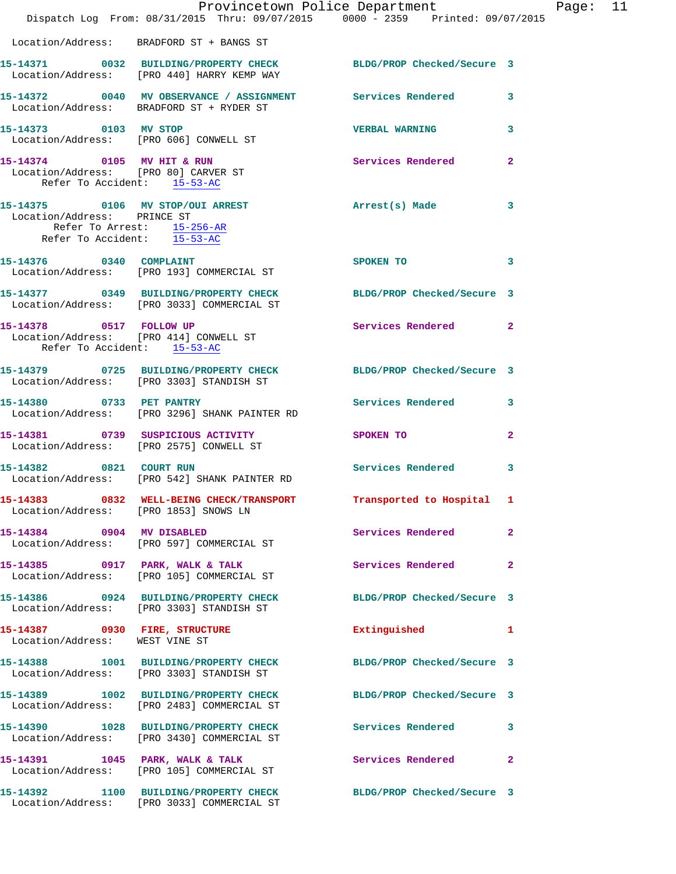|                                                                                                   | Provincetown Police Department                                                                                 |                            |                |
|---------------------------------------------------------------------------------------------------|----------------------------------------------------------------------------------------------------------------|----------------------------|----------------|
|                                                                                                   | Dispatch Log From: 08/31/2015 Thru: 09/07/2015 0000 - 2359 Printed: 09/07/2015                                 |                            |                |
|                                                                                                   | Location/Address: BRADFORD ST + BANGS ST                                                                       |                            |                |
|                                                                                                   | 15-14371 0032 BUILDING/PROPERTY CHECK BLDG/PROP Checked/Secure 3<br>Location/Address: [PRO 440] HARRY KEMP WAY |                            |                |
|                                                                                                   | 15-14372 0040 MV OBSERVANCE / ASSIGNMENT Services Rendered<br>Location/Address: BRADFORD ST + RYDER ST         |                            | 3              |
| 15-14373 0103 MV STOP                                                                             | Location/Address: [PRO 606] CONWELL ST                                                                         | <b>VERBAL WARNING</b>      | 3              |
| 15-14374 0105 MV HIT & RUN<br>Location/Address: [PRO 80] CARVER ST<br>Refer To Accident: 15-53-AC |                                                                                                                | Services Rendered          | $\mathbf{2}$   |
| Location/Address: PRINCE ST<br>Refer To Arrest: 15-256-AR<br>Refer To Accident: 15-53-AC          | 15-14375 0106 MV STOP/OUI ARREST                                                                               | Arrest(s) Made             | 3              |
| 15-14376 0340 COMPLAINT                                                                           | Location/Address: [PRO 193] COMMERCIAL ST                                                                      | SPOKEN TO                  | 3              |
|                                                                                                   | 15-14377 0349 BUILDING/PROPERTY CHECK<br>Location/Address: [PRO 3033] COMMERCIAL ST                            | BLDG/PROP Checked/Secure 3 |                |
| 15-14378 0517 FOLLOW UP<br>Refer To Accident: 15-53-AC                                            | Location/Address: [PRO 414] CONWELL ST                                                                         | Services Rendered          | $\mathbf{2}$   |
|                                                                                                   | 15-14379 0725 BUILDING/PROPERTY CHECK<br>Location/Address: [PRO 3303] STANDISH ST                              | BLDG/PROP Checked/Secure 3 |                |
|                                                                                                   | 15-14380 0733 PET PANTRY<br>Location/Address: [PRO 3296] SHANK PAINTER RD                                      | <b>Services Rendered</b>   | 3              |
|                                                                                                   | 15-14381 0739 SUSPICIOUS ACTIVITY<br>Location/Address: [PRO 2575] CONWELL ST                                   | SPOKEN TO                  | $\overline{a}$ |
|                                                                                                   | 15-14382 0821 COURT RUN<br>Location/Address: [PRO 542] SHANK PAINTER RD                                        | Services Rendered          | 3              |
| Location/Address: [PRO 1853] SNOWS LN                                                             | 15-14383 0832 WELL-BEING CHECK/TRANSPORT                                                                       | Transported to Hospital    | 1              |
| 15-14384 0904 MV DISABLED                                                                         | Location/Address: [PRO 597] COMMERCIAL ST                                                                      | Services Rendered          | $\mathbf{2}$   |
|                                                                                                   | 15-14385 0917 PARK, WALK & TALK<br>Location/Address: [PRO 105] COMMERCIAL ST                                   | Services Rendered          | $\mathbf{2}$   |
|                                                                                                   | 15-14386 0924 BUILDING/PROPERTY CHECK<br>Location/Address: [PRO 3303] STANDISH ST                              | BLDG/PROP Checked/Secure 3 |                |
| 15-14387 0930 FIRE, STRUCTURE<br>Location/Address: WEST VINE ST                                   |                                                                                                                | Extinguished               | 1              |
|                                                                                                   | 15-14388 1001 BUILDING/PROPERTY CHECK<br>Location/Address: [PRO 3303] STANDISH ST                              | BLDG/PROP Checked/Secure 3 |                |
|                                                                                                   | 15-14389 1002 BUILDING/PROPERTY CHECK<br>Location/Address: [PRO 2483] COMMERCIAL ST                            | BLDG/PROP Checked/Secure 3 |                |
|                                                                                                   | 15-14390 1028 BUILDING/PROPERTY CHECK<br>Location/Address: [PRO 3430] COMMERCIAL ST                            | <b>Services Rendered</b>   | 3              |
|                                                                                                   | 15-14391 1045 PARK, WALK & TALK<br>Location/Address: [PRO 105] COMMERCIAL ST                                   | <b>Services Rendered</b>   | $\overline{2}$ |
|                                                                                                   | 15-14392 1100 BUILDING/PROPERTY CHECK<br>Location/Address: [PRO 3033] COMMERCIAL ST                            | BLDG/PROP Checked/Secure 3 |                |

Page: 11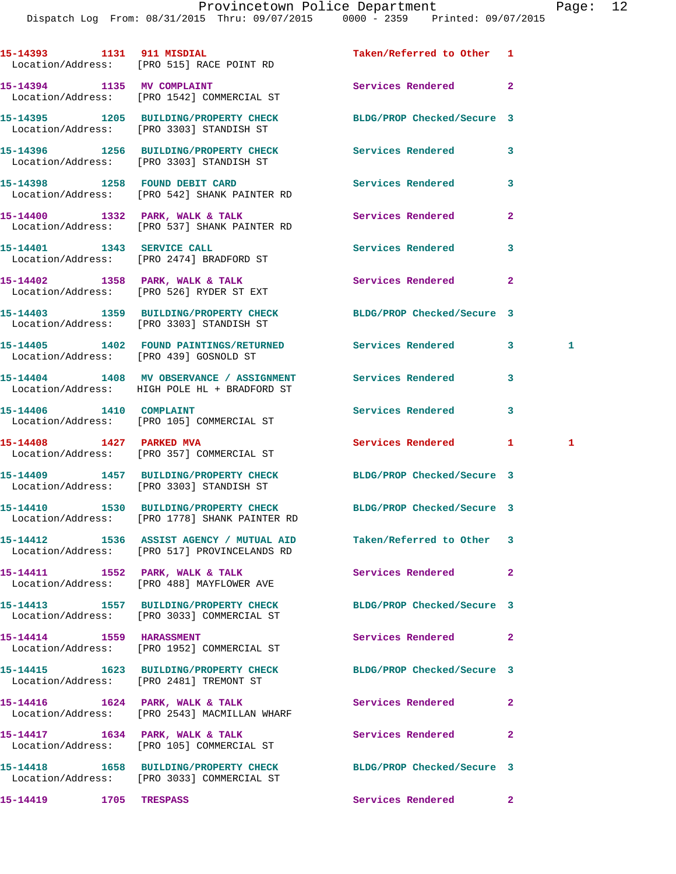|                             | 15-14393 1131 911 MISDIAL<br>Location/Address: [PRO 515] RACE POINT RD                                            | Taken/Referred to Other 1  |                |   |
|-----------------------------|-------------------------------------------------------------------------------------------------------------------|----------------------------|----------------|---|
|                             | 15-14394 1135 MV COMPLAINT<br>Location/Address: [PRO 1542] COMMERCIAL ST                                          | <b>Services Rendered</b>   | $\overline{2}$ |   |
|                             | 15-14395 1205 BUILDING/PROPERTY CHECK BLDG/PROP Checked/Secure 3<br>Location/Address: [PRO 3303] STANDISH ST      |                            |                |   |
|                             | 15-14396 1256 BUILDING/PROPERTY CHECK<br>Location/Address: [PRO 3303] STANDISH ST                                 | Services Rendered          | 3              |   |
|                             | 15-14398 1258 FOUND DEBIT CARD<br>Location/Address: [PRO 542] SHANK PAINTER RD                                    | Services Rendered          | 3              |   |
|                             | 15-14400 1332 PARK, WALK & TALK<br>Location/Address: [PRO 537] SHANK PAINTER RD                                   | Services Rendered          | $\overline{a}$ |   |
| 15-14401 1343 SERVICE CALL  | Location/Address: [PRO 2474] BRADFORD ST                                                                          | Services Rendered          | 3              |   |
|                             | 15-14402 1358 PARK, WALK & TALK<br>Location/Address: [PRO 526] RYDER ST EXT                                       | Services Rendered          | $\mathbf{2}$   |   |
|                             | 15-14403 1359 BUILDING/PROPERTY CHECK<br>Location/Address: [PRO 3303] STANDISH ST                                 | BLDG/PROP Checked/Secure 3 |                |   |
|                             | 15-14405 1402 FOUND PAINTINGS/RETURNED Services Rendered<br>Location/Address: [PRO 439] GOSNOLD ST                |                            | 3              | 1 |
|                             | 15-14404 1408 MV OBSERVANCE / ASSIGNMENT Services Rendered<br>Location/Address: HIGH POLE HL + BRADFORD ST        |                            | 3              |   |
| 15-14406   1410   COMPLAINT | Location/Address: [PRO 105] COMMERCIAL ST                                                                         | <b>Services Rendered</b>   | 3              |   |
|                             | Location/Address: [PRO 357] COMMERCIAL ST                                                                         | Services Rendered          | $\mathbf{1}$   | 1 |
|                             | 15-14409 1457 BUILDING/PROPERTY CHECK BLDG/PROP Checked/Secure 3<br>Location/Address: [PRO 3303] STANDISH ST      |                            |                |   |
|                             | 15-14410 1530 BUILDING/PROPERTY CHECK BLDG/PROP Checked/Secure 3<br>Location/Address: [PRO 1778] SHANK PAINTER RD |                            |                |   |
|                             | 15-14412 1536 ASSIST AGENCY / MUTUAL AID<br>Location/Address: [PRO 517] PROVINCELANDS RD                          | Taken/Referred to Other 3  |                |   |
|                             | 15-14411 1552 PARK, WALK & TALK<br>Location/Address: [PRO 488] MAYFLOWER AVE                                      | Services Rendered          | $\overline{a}$ |   |
|                             | 15-14413 1557 BUILDING/PROPERTY CHECK<br>Location/Address: [PRO 3033] COMMERCIAL ST                               | BLDG/PROP Checked/Secure 3 |                |   |
| 15-14414 1559 HARASSMENT    | Location/Address: [PRO 1952] COMMERCIAL ST                                                                        | Services Rendered          | $\overline{2}$ |   |
|                             | 15-14415 1623 BUILDING/PROPERTY CHECK<br>Location/Address: [PRO 2481] TREMONT ST                                  | BLDG/PROP Checked/Secure 3 |                |   |
|                             | 15-14416    1624    PARK, WALK & TALK<br>Location/Address: [PRO 2543] MACMILLAN WHARF                             | Services Rendered          | $\overline{2}$ |   |
|                             | 15-14417 1634 PARK, WALK & TALK<br>Location/Address: [PRO 105] COMMERCIAL ST                                      | <b>Services Rendered</b>   | $\overline{a}$ |   |
|                             | 15-14418 1658 BUILDING/PROPERTY CHECK<br>Location/Address: [PRO 3033] COMMERCIAL ST                               | BLDG/PROP Checked/Secure 3 |                |   |
| 15-14419 1705 TRESPASS      |                                                                                                                   | Services Rendered          | $\mathbf{2}$   |   |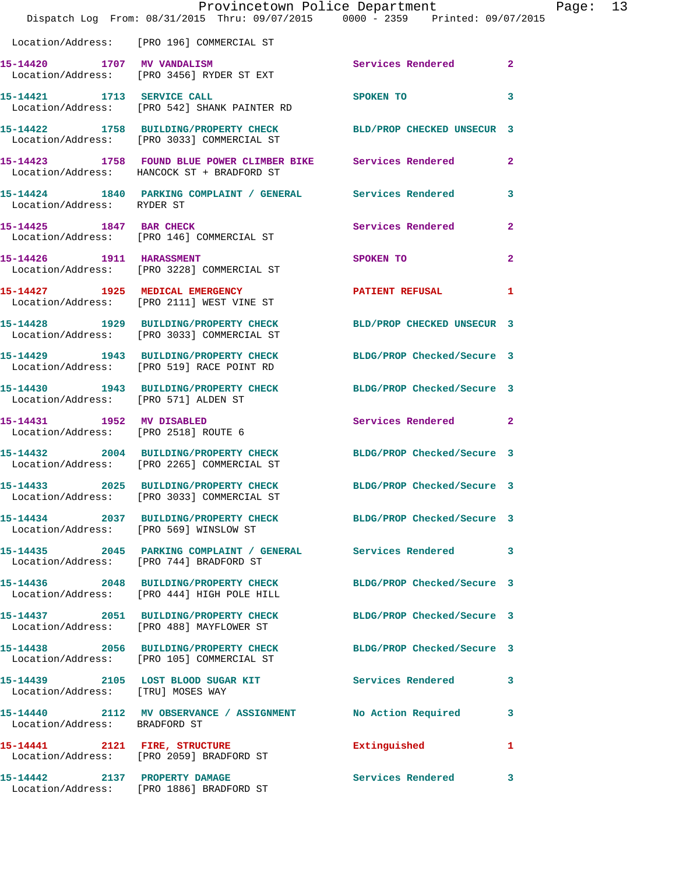|                                      | Dispatch Log From: 08/31/2015 Thru: 09/07/2015 0000 - 2359 Printed: 09/07/2015                                 | Provincetown Police Department | Page: 13                |
|--------------------------------------|----------------------------------------------------------------------------------------------------------------|--------------------------------|-------------------------|
|                                      | Location/Address: [PRO 196] COMMERCIAL ST                                                                      |                                |                         |
|                                      | 15-14420 1707 MV VANDALISM<br>Location/Address: [PRO 3456] RYDER ST EXT                                        | Services Rendered 2            |                         |
|                                      | 15-14421 1713 SERVICE CALL<br>Location/Address: [PRO 542] SHANK PAINTER RD                                     | SPOKEN TO                      | 3                       |
|                                      | 15-14422 1758 BUILDING/PROPERTY CHECK BLD/PROP CHECKED UNSECUR 3<br>Location/Address: [PRO 3033] COMMERCIAL ST |                                |                         |
|                                      | 15-14423 1758 FOUND BLUE POWER CLIMBER BIKE Services Rendered<br>Location/Address: HANCOCK ST + BRADFORD ST    |                                | $\mathbf{2}$            |
| Location/Address: RYDER ST           | 15-14424 1840 PARKING COMPLAINT / GENERAL Services Rendered 3                                                  |                                |                         |
|                                      | 15-14425 1847 BAR CHECK<br>Location/Address: [PRO 146] COMMERCIAL ST                                           | Services Rendered              | $\mathbf{2}$            |
|                                      | 15-14426 1911 HARASSMENT<br>Location/Address: [PRO 3228] COMMERCIAL ST                                         | SPOKEN TO                      | $\overline{a}$          |
|                                      | 15-14427 1925 MEDICAL EMERGENCY<br>Location/Address: [PRO 2111] WEST VINE ST                                   | PATIENT REFUSAL                | -1                      |
|                                      | 15-14428 1929 BUILDING/PROPERTY CHECK BLD/PROP CHECKED UNSECUR 3<br>Location/Address: [PRO 3033] COMMERCIAL ST |                                |                         |
|                                      | 15-14429 1943 BUILDING/PROPERTY CHECK BLDG/PROP Checked/Secure 3<br>Location/Address: [PRO 519] RACE POINT RD  |                                |                         |
| Location/Address: [PRO 571] ALDEN ST | 15-14430 1943 BUILDING/PROPERTY CHECK BLDG/PROP Checked/Secure 3                                               |                                |                         |
|                                      | 15-14431 1952 MV DISABLED<br>Location/Address: [PRO 2518] ROUTE 6                                              | Services Rendered 2            |                         |
|                                      | 15-14432 2004 BUILDING/PROPERTY CHECK BLDG/PROP Checked/Secure 3<br>Location/Address: [PRO 2265] COMMERCIAL ST |                                |                         |
|                                      | 15-14433 2025 BUILDING/PROPERTY CHECK<br>Location/Address: [PRO 3033] COMMERCIAL ST                            | BLDG/PROP Checked/Secure 3     |                         |
|                                      | 15-14434 2037 BUILDING/PROPERTY CHECK BLDG/PROP Checked/Secure 3<br>Location/Address: [PRO 569] WINSLOW ST     |                                |                         |
|                                      | 15-14435 2045 PARKING COMPLAINT / GENERAL Services Rendered 3<br>Location/Address: [PRO 744] BRADFORD ST       |                                |                         |
|                                      | 15-14436 2048 BUILDING/PROPERTY CHECK BLDG/PROP Checked/Secure 3<br>Location/Address: [PRO 444] HIGH POLE HILL |                                |                         |
|                                      | 15-14437 2051 BUILDING/PROPERTY CHECK<br>Location/Address: [PRO 488] MAYFLOWER ST                              | BLDG/PROP Checked/Secure 3     |                         |
|                                      | 15-14438 2056 BUILDING/PROPERTY CHECK BLDG/PROP Checked/Secure 3<br>Location/Address: [PRO 105] COMMERCIAL ST  |                                |                         |
| Location/Address: [TRU] MOSES WAY    | 15-14439 2105 LOST BLOOD SUGAR KIT                                                                             | Services Rendered 3            |                         |
| Location/Address: BRADFORD ST        | 15-14440 2112 MV OBSERVANCE / ASSIGNMENT No Action Required                                                    |                                | $\overline{\mathbf{3}}$ |
|                                      | 15-14441 2121 FIRE, STRUCTURE<br>Location/Address: [PRO 2059] BRADFORD ST                                      | Extinguished                   | 1                       |
|                                      | 15-14442 2137 PROPERTY DAMAGE<br>Location/Address: [PRO 1886] BRADFORD ST                                      | Services Rendered              | 3                       |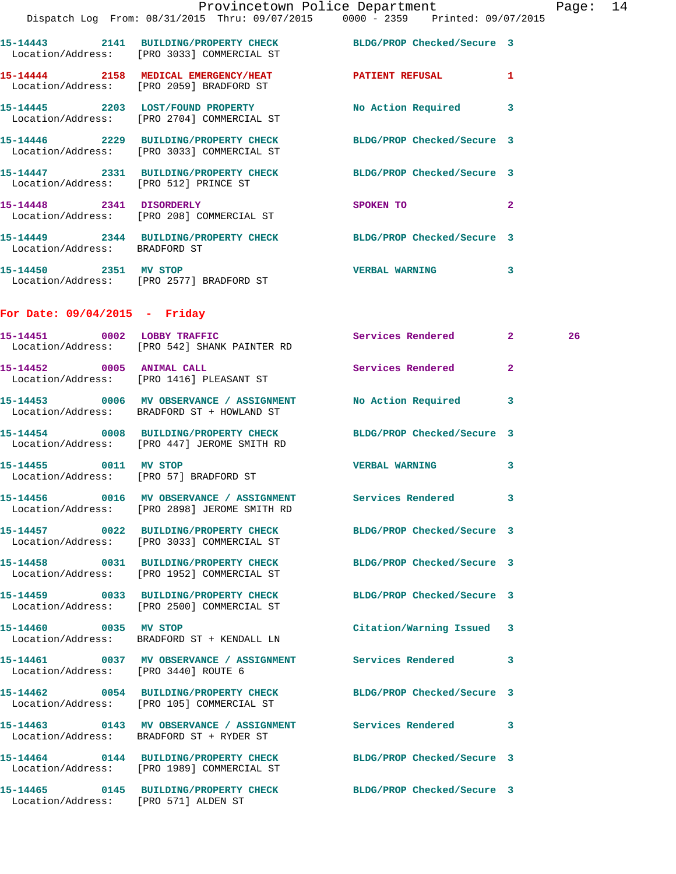Page:  $14$ <br>2015

|                                 | Provincetown Police Department<br>Dispatch Log From: 08/31/2015 Thru: 09/07/2015 0000 - 2359 Printed: 09/07/2015 |                                         |              | Page |
|---------------------------------|------------------------------------------------------------------------------------------------------------------|-----------------------------------------|--------------|------|
|                                 | 15-14443 2141 BUILDING/PROPERTY CHECK BLDG/PROP Checked/Secure 3<br>Location/Address: [PRO 3033] COMMERCIAL ST   |                                         |              |      |
|                                 | 15-14444 2158 MEDICAL EMERGENCY/HEAT<br>Location/Address: [PRO 2059] BRADFORD ST                                 | PATIENT REFUSAL 1                       |              |      |
|                                 | 15-14445 2203 LOST/FOUND PROPERTY No Action Required 3<br>Location/Address: [PRO 2704] COMMERCIAL ST             |                                         |              |      |
|                                 | 15-14446 2229 BUILDING/PROPERTY CHECK<br>Location/Address: [PRO 3033] COMMERCIAL ST                              | BLDG/PROP Checked/Secure 3              |              |      |
|                                 | 15-14447 2331 BUILDING/PROPERTY CHECK BLDG/PROP Checked/Secure 3<br>Location/Address: [PRO 512] PRINCE ST        |                                         |              |      |
|                                 | 15-14448 2341 DISORDERLY<br>Location/Address: [PRO 208] COMMERCIAL ST                                            | SPOKEN TO<br>$\overline{\phantom{0}}$ 2 |              |      |
| Location/Address: BRADFORD ST   | 15-14449 2344 BUILDING/PROPERTY CHECK BLDG/PROP Checked/Secure 3                                                 |                                         |              |      |
| 15-14450 2351 MV STOP           | Location/Address: [PRO 2577] BRADFORD ST                                                                         | VERBAL WARNING 3                        |              |      |
| For Date: $09/04/2015$ - Friday |                                                                                                                  |                                         |              |      |
|                                 | 15-14451 0002 LOBBY TRAFFIC<br>Location/Address: [PRO 542] SHANK PAINTER RD                                      | Services Rendered 2                     |              | 26   |
|                                 | 15-14452 0005 ANIMAL CALL<br>Location/Address: [PRO 1416] PLEASANT ST                                            | Services Rendered                       | $\mathbf{2}$ |      |
|                                 | 15-14453 0006 MV OBSERVANCE / ASSIGNMENT No Action Required 3<br>Location/Address: BRADFORD ST + HOWLAND ST      |                                         |              |      |
|                                 | 15-14454 0008 BUILDING/PROPERTY CHECK BLDG/PROP Checked/Secure 3<br>Location/Address: [PRO 447] JEROME SMITH RD  |                                         |              |      |
| 15-14455 0011 MV STOP           | Location/Address: [PRO 57] BRADFORD ST                                                                           | <b>VERBAL WARNING</b>                   | 3            |      |
|                                 | Location/Address: [PRO 2898] JEROME SMITH RD                                                                     |                                         | 3            |      |
|                                 | 15-14457 0022 BUILDING/PROPERTY CHECK<br>Location/Address: [PRO 3033] COMMERCIAL ST                              | BLDG/PROP Checked/Secure 3              |              |      |
|                                 | 15-14458 0031 BUILDING/PROPERTY CHECK<br>Location/Address: [PRO 1952] COMMERCIAL ST                              | BLDG/PROP Checked/Secure 3              |              |      |
|                                 | 15-14459 0033 BUILDING/PROPERTY CHECK BLDG/PROP Checked/Secure 3<br>Location/Address: [PRO 2500] COMMERCIAL ST   |                                         |              |      |
|                                 | 15-14460 0035 MV STOP<br>Location/Address: BRADFORD ST + KENDALL LN                                              | Citation/Warning Issued 3               |              |      |
|                                 | 15-14461 0037 MV OBSERVANCE / ASSIGNMENT Services Rendered 3<br>Location/Address: [PRO 3440] ROUTE 6             |                                         |              |      |
|                                 | 15-14462 0054 BUILDING/PROPERTY CHECK BLDG/PROP Checked/Secure 3<br>Location/Address: [PRO 105] COMMERCIAL ST    |                                         |              |      |
|                                 | 15-14463 0143 MV OBSERVANCE / ASSIGNMENT Services Rendered 3<br>Location/Address: BRADFORD ST + RYDER ST         |                                         |              |      |
|                                 | 15-14464 0144 BUILDING/PROPERTY CHECK BLDG/PROP Checked/Secure 3<br>Location/Address: [PRO 1989] COMMERCIAL ST   |                                         |              |      |
|                                 | 15-14465  0145  BUILDING/PROPERTY CHECK                                                                          | BLDG/PROP Checked/Secure 3              |              |      |

Location/Address: [PRO 571] ALDEN ST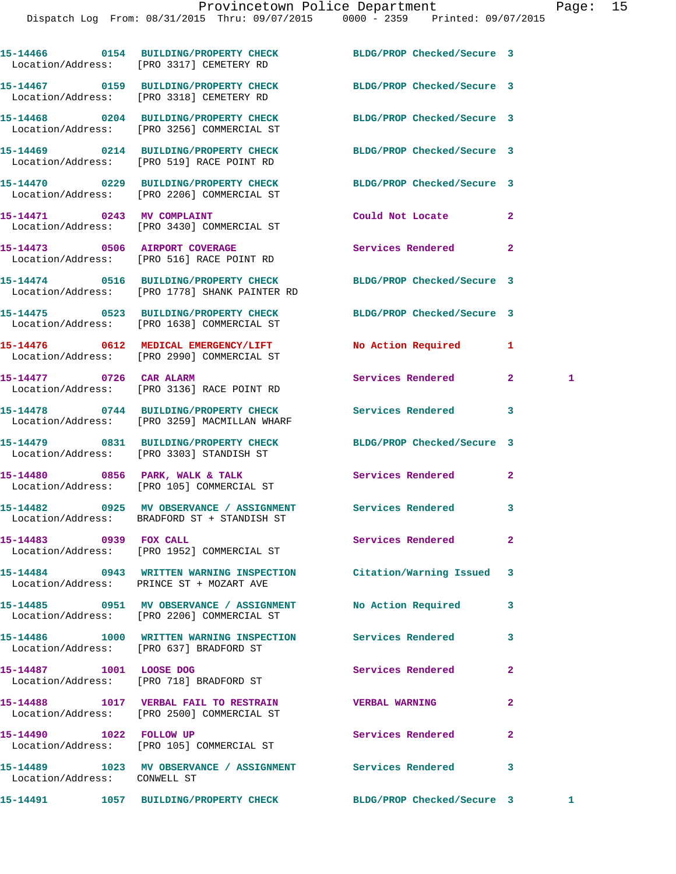|                              | 15-14466 0154 BUILDING/PROPERTY CHECK<br>Location/Address: [PRO 3317] CEMETERY RD                                       | BLDG/PROP Checked/Secure 3 |                     |
|------------------------------|-------------------------------------------------------------------------------------------------------------------------|----------------------------|---------------------|
|                              | 15-14467 0159 BUILDING/PROPERTY CHECK BLDG/PROP Checked/Secure 3<br>Location/Address: [PRO 3318] CEMETERY RD            |                            |                     |
|                              | 15-14468 0204 BUILDING/PROPERTY CHECK<br>Location/Address: [PRO 3256] COMMERCIAL ST                                     | BLDG/PROP Checked/Secure 3 |                     |
|                              | 15-14469 0214 BUILDING/PROPERTY CHECK<br>Location/Address: [PRO 519] RACE POINT RD                                      | BLDG/PROP Checked/Secure 3 |                     |
|                              | 15-14470 0229 BUILDING/PROPERTY CHECK<br>Location/Address: [PRO 2206] COMMERCIAL ST                                     | BLDG/PROP Checked/Secure 3 |                     |
| 15-14471 0243 MV COMPLAINT   | Location/Address: [PRO 3430] COMMERCIAL ST                                                                              | Could Not Locate           | $\mathbf{2}$        |
|                              | 15-14473 0506 AIRPORT COVERAGE<br>Location/Address: [PRO 516] RACE POINT RD                                             | Services Rendered          | $\overline{2}$      |
|                              | 15-14474 0516 BUILDING/PROPERTY CHECK<br>Location/Address: [PRO 1778] SHANK PAINTER RD                                  | BLDG/PROP Checked/Secure 3 |                     |
|                              | 15-14475 0523 BUILDING/PROPERTY CHECK<br>Location/Address: [PRO 1638] COMMERCIAL ST                                     | BLDG/PROP Checked/Secure 3 |                     |
|                              | 15-14476  0612 MEDICAL EMERGENCY/LIFT<br>Location/Address: [PRO 2990] COMMERCIAL ST                                     | <b>No Action Required</b>  | 1                   |
| 15-14477 0726 CAR ALARM      | Location/Address: [PRO 3136] RACE POINT RD                                                                              | Services Rendered          | 2 <sup>1</sup><br>1 |
|                              | 15-14478 0744 BUILDING/PROPERTY CHECK<br>Location/Address: [PRO 3259] MACMILLAN WHARF                                   | <b>Services Rendered</b>   | 3                   |
|                              | 15-14479 0831 BUILDING/PROPERTY CHECK<br>Location/Address: [PRO 3303] STANDISH ST                                       | BLDG/PROP Checked/Secure 3 |                     |
|                              | 15-14480 0856 PARK, WALK & TALK<br>Location/Address: [PRO 105] COMMERCIAL ST                                            | Services Rendered          | 2                   |
|                              | 15-14482 0925 MV OBSERVANCE / ASSIGNMENT Services Rendered<br>Location/Address: BRADFORD ST + STANDISH ST               |                            | 3                   |
| 15-14483 0939 FOX CALL       | Location/Address: [PRO 1952] COMMERCIAL ST                                                                              | Services Rendered          | $\overline{2}$      |
|                              | 15-14484      0943  WRITTEN WARNING INSPECTION      Citation/Warning Issued<br>Location/Address: PRINCE ST + MOZART AVE |                            | 3                   |
|                              | 15-14485 0951 MV OBSERVANCE / ASSIGNMENT No Action Required<br>Location/Address: [PRO 2206] COMMERCIAL ST               |                            | 3                   |
|                              | Location/Address: [PRO 637] BRADFORD ST                                                                                 |                            | 3                   |
| 15-14487 1001 LOOSE DOG      | Location/Address: [PRO 718] BRADFORD ST                                                                                 | Services Rendered          | $\mathbf{2}$        |
|                              | 15-14488 1017 VERBAL FAIL TO RESTRAIN TERBAL WARNING<br>Location/Address: [PRO 2500] COMMERCIAL ST                      |                            | $\overline{a}$      |
|                              | 15-14490    1022    FOLLOW UP<br>Location/Address: [PRO 105] COMMERCIAL ST                                              | Services Rendered          | $\mathbf{2}$        |
| Location/Address: CONWELL ST | 15-14489 1023 MV OBSERVANCE / ASSIGNMENT Services Rendered                                                              |                            | 3                   |
|                              |                                                                                                                         |                            |                     |

**15-14491 1057 BUILDING/PROPERTY CHECK BLDG/PROP Checked/Secure 3 1**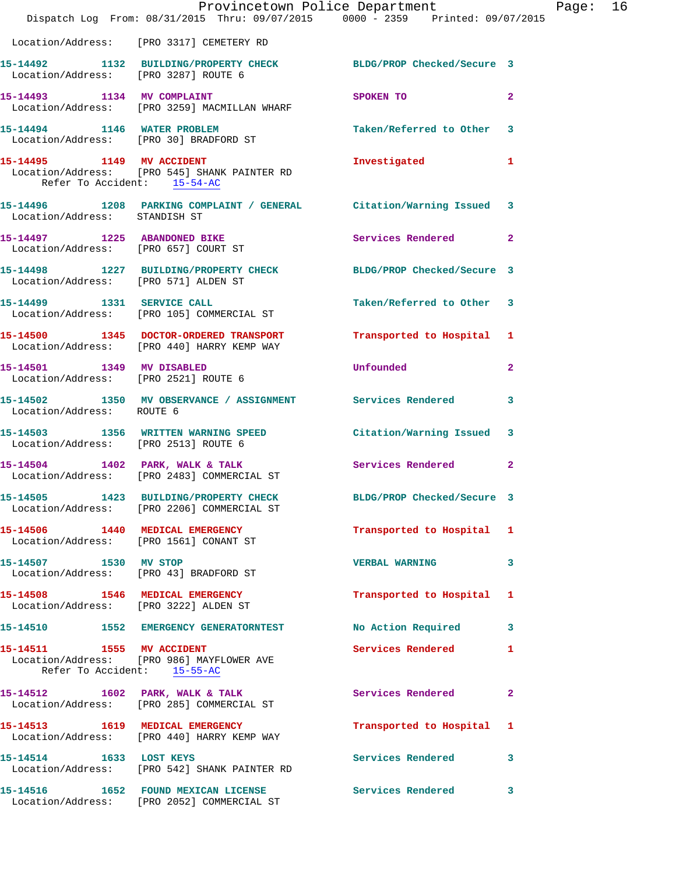|                                                                 | Dispatch Log From: 08/31/2015 Thru: 09/07/2015 0000 - 2359 Printed: 09/07/2015                                 | Provincetown Police Department Page: 16 |              |  |
|-----------------------------------------------------------------|----------------------------------------------------------------------------------------------------------------|-----------------------------------------|--------------|--|
|                                                                 | Location/Address: [PRO 3317] CEMETERY RD                                                                       |                                         |              |  |
|                                                                 | 15-14492 1132 BUILDING/PROPERTY CHECK BLDG/PROP Checked/Secure 3<br>Location/Address: [PRO 3287] ROUTE 6       |                                         |              |  |
|                                                                 | 15-14493 1134 MV COMPLAINT<br>Location/Address: [PRO 3259] MACMILLAN WHARF                                     | SPOKEN TO                               | $\mathbf{2}$ |  |
|                                                                 | 15-14494 1146 WATER PROBLEM<br>Location/Address: [PRO 30] BRADFORD ST                                          | Taken/Referred to Other 3               |              |  |
| Refer To Accident: 15-54-AC                                     | 15-14495 1149 MV ACCIDENT<br>Location/Address: [PRO 545] SHANK PAINTER RD                                      | Investigated 1                          |              |  |
|                                                                 | 15-14496 1208 PARKING COMPLAINT / GENERAL Citation/Warning Issued 3<br>Location/Address: STANDISH ST           |                                         |              |  |
|                                                                 | 15-14497 1225 ABANDONED BIKE<br>Location/Address: [PRO 657] COURT ST                                           | Services Rendered 2                     |              |  |
| Location/Address: [PRO 571] ALDEN ST                            | 15-14498 1227 BUILDING/PROPERTY CHECK BLDG/PROP Checked/Secure 3                                               |                                         |              |  |
|                                                                 | 15-14499 1331 SERVICE CALL<br>Location/Address: [PRO 105] COMMERCIAL ST                                        | Taken/Referred to Other 3               |              |  |
|                                                                 | 15-14500 1345 DOCTOR-ORDERED TRANSPORT Transported to Hospital 1<br>Location/Address: [PRO 440] HARRY KEMP WAY |                                         |              |  |
|                                                                 | 15-14501 1349 MV DISABLED<br>Location/Address: [PRO 2521] ROUTE 6                                              | Unfounded 2                             |              |  |
| Location/Address: ROUTE 6                                       | 15-14502 1350 MV OBSERVANCE / ASSIGNMENT Services Rendered                                                     |                                         | 3            |  |
| Location/Address: [PRO 2513] ROUTE 6                            | 15-14503 1356 WRITTEN WARNING SPEED Citation/Warning Issued 3                                                  |                                         |              |  |
|                                                                 | 15-14504 1402 PARK, WALK & TALK STARE Services Rendered 2<br>Location/Address: [PRO 2483] COMMERCIAL ST        |                                         |              |  |
|                                                                 | 15-14505 1423 BUILDING/PROPERTY CHECK<br>Location/Address: [PRO 2206] COMMERCIAL ST                            | BLDG/PROP Checked/Secure 3              |              |  |
|                                                                 | 15-14506 1440 MEDICAL EMERGENCY<br>Location/Address: [PRO 1561] CONANT ST                                      | Transported to Hospital 1               |              |  |
| 15-14507 1530 MV STOP<br>Location/Address: [PRO 43] BRADFORD ST |                                                                                                                | <b>VERBAL WARNING</b>                   | 3            |  |
|                                                                 | 15-14508 1546 MEDICAL EMERGENCY<br>Location/Address: [PRO 3222] ALDEN ST                                       | Transported to Hospital 1               |              |  |
|                                                                 | 15-14510 1552 EMERGENCY GENERATORNTEST No Action Required 3                                                    |                                         |              |  |
| Refer To Accident: 15-55-AC                                     | 15-14511 1555 MV ACCIDENT<br>Location/Address: [PRO 986] MAYFLOWER AVE                                         | Services Rendered                       | $\mathbf{1}$ |  |
|                                                                 | 15-14512 1602 PARK, WALK & TALK<br>Location/Address: [PRO 285] COMMERCIAL ST                                   | Services Rendered 2                     |              |  |
|                                                                 | 15-14513 1619 MEDICAL EMERGENCY<br>Location/Address: [PRO 440] HARRY KEMP WAY                                  | Transported to Hospital 1               |              |  |
| 15-14514 1633 LOST KEYS                                         | Location/Address: [PRO 542] SHANK PAINTER RD                                                                   | Services Rendered 3                     |              |  |
|                                                                 | 15-14516 1652 FOUND MEXICAN LICENSE<br>Location/Address: [PRO 2052] COMMERCIAL ST                              | Services Rendered                       | 3            |  |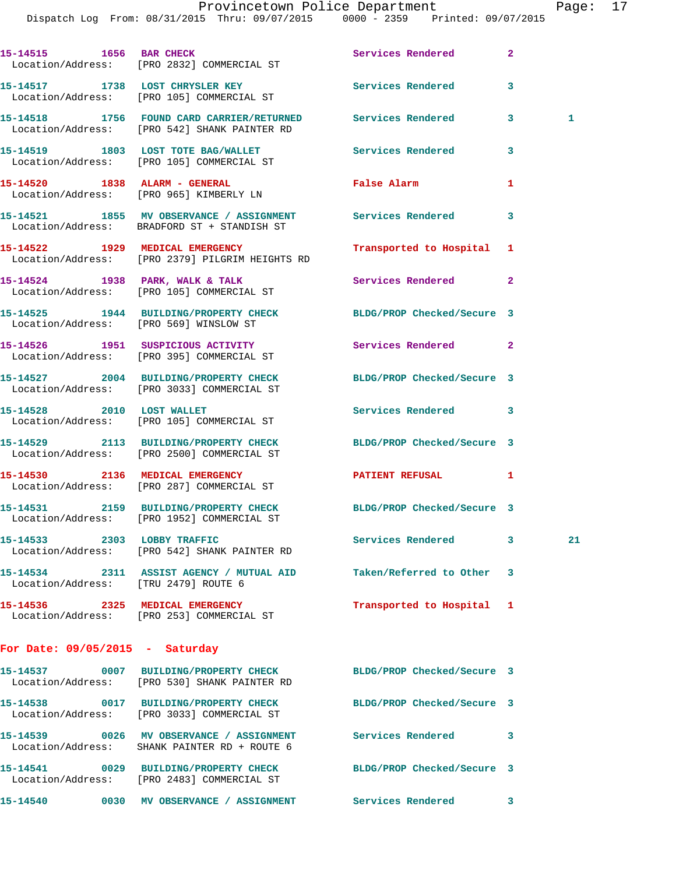|                                      | 15-14515 1656 BAR CHECK<br>Location/Address: [PRO 2832] COMMERCIAL ST                                          | Services Rendered          | $\mathbf{2}$ |    |
|--------------------------------------|----------------------------------------------------------------------------------------------------------------|----------------------------|--------------|----|
|                                      | 15-14517 1738 LOST CHRYSLER KEY<br>Location/Address: [PRO 105] COMMERCIAL ST                                   | Services Rendered 3        |              |    |
|                                      | 15-14518 1756 FOUND CARD CARRIER/RETURNED Services Rendered 3<br>Location/Address: [PRO 542] SHANK PAINTER RD  |                            |              | 1  |
|                                      | 15-14519 1803 LOST TOTE BAG/WALLET<br>Location/Address: [PRO 105] COMMERCIAL ST                                | Services Rendered          | 3            |    |
|                                      | 15-14520 1838 ALARM - GENERAL<br>Location/Address: [PRO 965] KIMBERLY LN                                       | False Alarm                | 1            |    |
|                                      | 15-14521 1855 MV OBSERVANCE / ASSIGNMENT Services Rendered<br>Location/Address: BRADFORD ST + STANDISH ST      |                            | 3            |    |
|                                      | 15-14522 1929 MEDICAL EMERGENCY<br>Location/Address: [PRO 2379] PILGRIM HEIGHTS RD                             | Transported to Hospital 1  |              |    |
|                                      | 15-14524 1938 PARK, WALK & TALK<br>Location/Address: [PRO 105] COMMERCIAL ST                                   | <b>Services Rendered</b>   | $\mathbf{2}$ |    |
|                                      | 15-14525 1944 BUILDING/PROPERTY CHECK BLDG/PROP Checked/Secure 3<br>Location/Address: [PRO 569] WINSLOW ST     |                            |              |    |
|                                      | 15-14526 1951 SUSPICIOUS ACTIVITY<br>Location/Address: [PRO 395] COMMERCIAL ST                                 | Services Rendered 2        |              |    |
|                                      | 15-14527 2004 BUILDING/PROPERTY CHECK<br>Location/Address: [PRO 3033] COMMERCIAL ST                            | BLDG/PROP Checked/Secure 3 |              |    |
|                                      | 15-14528 2010 LOST WALLET<br>Location/Address: [PRO 105] COMMERCIAL ST                                         | Services Rendered 3        |              |    |
|                                      | 15-14529 2113 BUILDING/PROPERTY CHECK<br>Location/Address: [PRO 2500] COMMERCIAL ST                            | BLDG/PROP Checked/Secure 3 |              |    |
|                                      | 15-14530 2136 MEDICAL EMERGENCY<br>Location/Address: [PRO 287] COMMERCIAL ST                                   | PATIENT REFUSAL 1          |              |    |
|                                      | 15-14531 2159 BUILDING/PROPERTY CHECK BLDG/PROP Checked/Secure 3<br>Location/Address: [PRO 1952] COMMERCIAL ST |                            |              |    |
| 15-14533 2303 LOBBY TRAFFIC          | Location/Address: [PRO 542] SHANK PAINTER RD                                                                   | <b>Services Rendered</b>   | 3            | 21 |
| Location/Address: [TRU 2479] ROUTE 6 | 15-14534 2311 ASSIST AGENCY / MUTUAL AID Taken/Referred to Other 3                                             |                            |              |    |
|                                      | 15-14536 2325 MEDICAL EMERGENCY<br>Location/Address: [PRO 253] COMMERCIAL ST                                   | Transported to Hospital 1  |              |    |
| For Date: $09/05/2015$ - Saturday    |                                                                                                                |                            |              |    |
|                                      | 15-14537 0007 BUILDING/PROPERTY CHECK<br>Location/Address: [PRO 530] SHANK PAINTER RD                          | BLDG/PROP Checked/Secure 3 |              |    |
|                                      | 15-14538 0017 BUILDING/PROPERTY CHECK<br>Location/Address: [PRO 3033] COMMERCIAL ST                            | BLDG/PROP Checked/Secure 3 |              |    |
|                                      | 15-14539 0026 MV OBSERVANCE / ASSIGNMENT Services Rendered<br>Location/Address: SHANK PAINTER RD + ROUTE 6     |                            | 3            |    |
|                                      | 15-14541 0029 BUILDING/PROPERTY CHECK<br>Location/Address: [PRO 2483] COMMERCIAL ST                            | BLDG/PROP Checked/Secure 3 |              |    |
|                                      |                                                                                                                |                            |              |    |

**15-14540 0030 MV OBSERVANCE / ASSIGNMENT Services Rendered 3**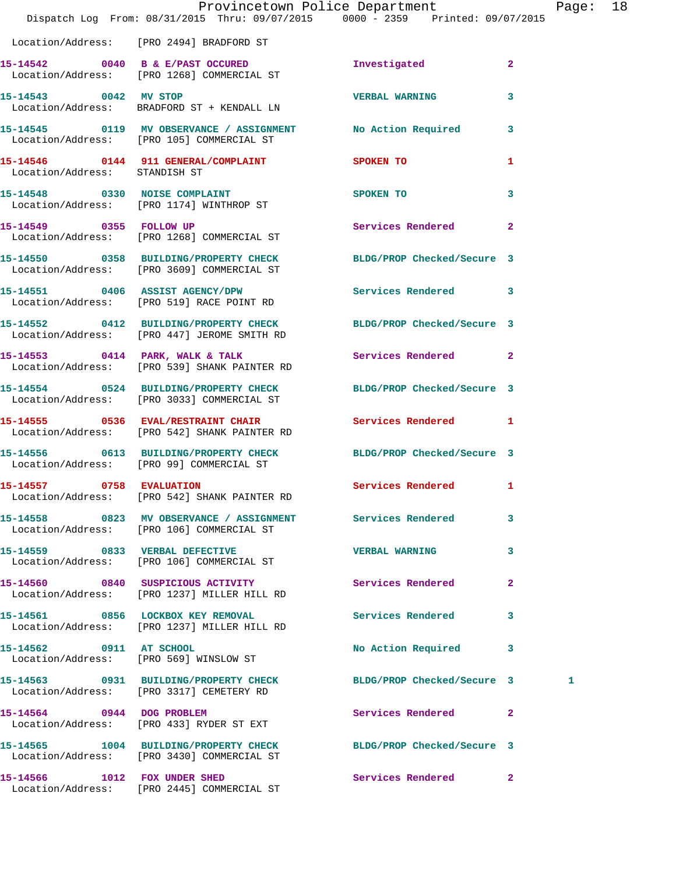|                                    | Dispatch Log From: 08/31/2015 Thru: 09/07/2015 0000 - 2359 Printed: 09/07/2015                                        | Provincetown Police Department |                | Page: 18 |
|------------------------------------|-----------------------------------------------------------------------------------------------------------------------|--------------------------------|----------------|----------|
|                                    | Location/Address: [PRO 2494] BRADFORD ST                                                                              |                                |                |          |
|                                    | 15-14542 0040 B & E/PAST OCCURED<br>Location/Address: [PRO 1268] COMMERCIAL ST                                        | Investigated                   | $\overline{2}$ |          |
|                                    | 15-14543 0042 MV STOP<br>Location/Address: BRADFORD ST + KENDALL LN                                                   | <b>VERBAL WARNING</b>          | 3              |          |
|                                    | 15-14545 0119 MV OBSERVANCE / ASSIGNMENT No Action Required 3<br>Location/Address: [PRO 105] COMMERCIAL ST            |                                |                |          |
| Location/Address: STANDISH ST      | 15-14546  0144 911 GENERAL/COMPLAINT  SPOKEN TO                                                                       |                                | $\mathbf{1}$   |          |
|                                    | 15-14548 0330 NOISE COMPLAINT<br>Location/Address: [PRO 1174] WINTHROP ST                                             | SPOKEN TO                      | $\mathbf{3}$   |          |
| 15-14549 0355 FOLLOW UP            | Location/Address: [PRO 1268] COMMERCIAL ST                                                                            | Services Rendered 2            |                |          |
|                                    | 15-14550 0358 BUILDING/PROPERTY CHECK BLDG/PROP Checked/Secure 3<br>Location/Address: [PRO 3609] COMMERCIAL ST        |                                |                |          |
|                                    | 15-14551 0406 ASSIST AGENCY/DPW Services Rendered 3<br>Location/Address: [PRO 519] RACE POINT RD                      |                                |                |          |
|                                    | 15-14552   0412   BUILDING/PROPERTY CHECK   BLDG/PROP Checked/Secure 3<br>Location/Address: [PRO 447] JEROME SMITH RD |                                |                |          |
|                                    | 15-14553 0414 PARK, WALK & TALK 3 Services Rendered 2<br>Location/Address: [PRO 539] SHANK PAINTER RD                 |                                |                |          |
|                                    | 15-14554 0524 BUILDING/PROPERTY CHECK BLDG/PROP Checked/Secure 3<br>Location/Address: [PRO 3033] COMMERCIAL ST        |                                |                |          |
|                                    | 15-14555 0536 EVAL/RESTRAINT CHAIR Services Rendered 1<br>Location/Address: [PRO 542] SHANK PAINTER RD                |                                |                |          |
|                                    | 15-14556 0613 BUILDING/PROPERTY CHECK BLDG/PROP Checked/Secure 3<br>Location/Address: [PRO 99] COMMERCIAL ST          |                                |                |          |
|                                    | 15-14557 0758 EVALUATION<br>Location/Address: [PRO 542] SHANK PAINTER RD                                              | Services Rendered 1            |                |          |
|                                    | 15-14558 0823 MV OBSERVANCE / ASSIGNMENT Services Rendered<br>Location/Address: [PRO 106] COMMERCIAL ST               |                                | $\mathbf{3}$   |          |
|                                    | 15-14559 0833 VERBAL DEFECTIVE<br>Location/Address: [PRO 106] COMMERCIAL ST                                           | <b>VERBAL WARNING</b>          | $\mathbf{3}$   |          |
|                                    | 15-14560 0840 SUSPICIOUS ACTIVITY<br>Location/Address: [PRO 1237] MILLER HILL RD                                      | Services Rendered              | $\mathbf{2}$   |          |
|                                    | 15-14561 0856 LOCKBOX KEY REMOVAL<br>Location/Address: [PRO 1237] MILLER HILL RD                                      | <b>Services Rendered</b>       | $\mathbf{3}$   |          |
|                                    | 15-14562 0911 AT SCHOOL<br>Location/Address: [PRO 569] WINSLOW ST                                                     | No Action Required 3           |                |          |
|                                    | 15-14563 0931 BUILDING/PROPERTY CHECK BLDG/PROP Checked/Secure 3<br>Location/Address: [PRO 3317] CEMETERY RD          |                                | 1              |          |
|                                    | 15-14564 0944 DOG PROBLEM<br>Location/Address: [PRO 433] RYDER ST EXT                                                 | Services Rendered 2            |                |          |
|                                    | 15-14565 1004 BUILDING/PROPERTY CHECK BLDG/PROP Checked/Secure 3<br>Location/Address: [PRO 3430] COMMERCIAL ST        |                                |                |          |
| 15-14566    1012    FOX UNDER SHED |                                                                                                                       | Services Rendered 2            |                |          |

Location/Address: [PRO 2445] COMMERCIAL ST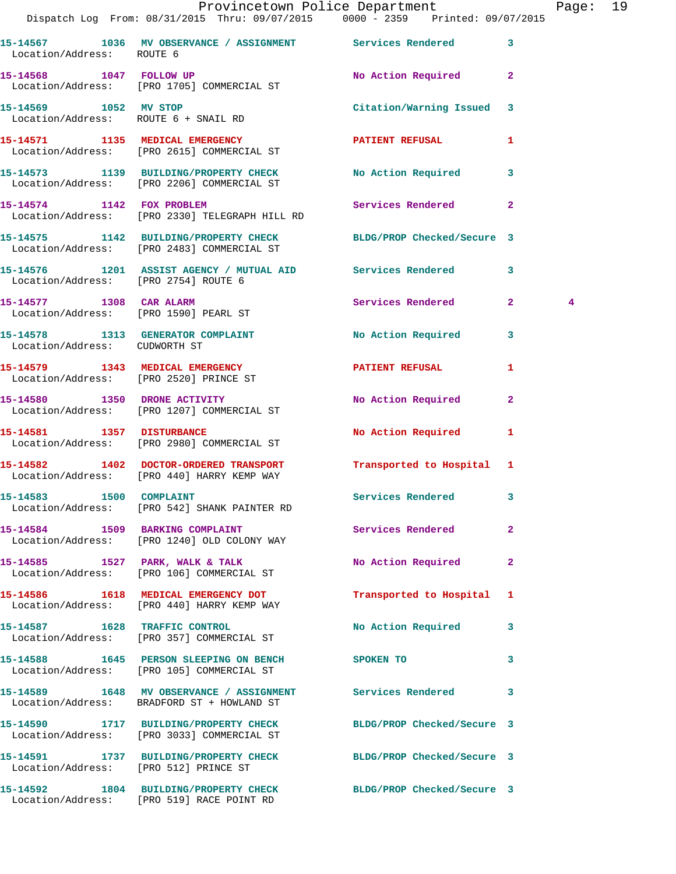|                                       | Provincetown Police Department The Page: 19<br>Dispatch Log From: 08/31/2015 Thru: 09/07/2015 0000 - 2359 Printed: 09/07/2015 |                            |                |                |  |
|---------------------------------------|-------------------------------------------------------------------------------------------------------------------------------|----------------------------|----------------|----------------|--|
| Location/Address: ROUTE 6             | 15-14567 1036 MV OBSERVANCE / ASSIGNMENT Services Rendered                                                                    |                            | $\mathbf{3}$   |                |  |
|                                       | 15-14568 1047 FOLLOW UP<br>Location/Address: [PRO 1705] COMMERCIAL ST                                                         | No Action Required         | $\mathbf{2}$   |                |  |
|                                       | 15-14569 1052 MV STOP<br>Location/Address: ROUTE 6 + SNAIL RD                                                                 | Citation/Warning Issued 3  |                |                |  |
|                                       | 15-14571 1135 MEDICAL EMERGENCY<br>Location/Address: [PRO 2615] COMMERCIAL ST                                                 | PATIENT REFUSAL            | 1              |                |  |
|                                       | 15-14573 1139 BUILDING/PROPERTY CHECK No Action Required 3<br>Location/Address: [PRO 2206] COMMERCIAL ST                      |                            |                |                |  |
|                                       | 15-14574 1142 FOX PROBLEM<br>Location/Address: [PRO 2330] TELEGRAPH HILL RD                                                   | Services Rendered          | $\mathbf{2}$   |                |  |
|                                       | 15-14575 1142 BUILDING/PROPERTY CHECK BLDG/PROP Checked/Secure 3<br>Location/Address: [PRO 2483] COMMERCIAL ST                |                            |                |                |  |
| Location/Address: [PRO 2754] ROUTE 6  | 15-14576 1201 ASSIST AGENCY / MUTUAL AID Services Rendered                                                                    |                            | 3              |                |  |
|                                       | 15-14577 1308 CAR ALARM<br>Location/Address: [PRO 1590] PEARL ST                                                              | Services Rendered 2        |                | $\overline{4}$ |  |
| Location/Address: CUDWORTH ST         | 15-14578 1313 GENERATOR COMPLAINT No Action Required                                                                          |                            | 3              |                |  |
|                                       | 15-14579 1343 MEDICAL EMERGENCY<br>Location/Address: [PRO 2520] PRINCE ST                                                     | PATIENT REFUSAL            | $\mathbf{1}$   |                |  |
|                                       | 15-14580 1350 DRONE ACTIVITY<br>Location/Address: [PRO 1207] COMMERCIAL ST                                                    | No Action Required         | 2              |                |  |
| 15-14581 1357 DISTURBANCE             | Location/Address: [PRO 2980] COMMERCIAL ST                                                                                    | No Action Required         | 1.             |                |  |
|                                       | 15-14582 1402 DOCTOR-ORDERED TRANSPORT Transported to Hospital 1<br>Location/Address: [PRO 440] HARRY KEMP WAY                |                            |                |                |  |
| 15-14583 1500 COMPLAINT               | Location/Address: [PRO 542] SHANK PAINTER RD                                                                                  | <b>Services Rendered</b>   |                |                |  |
|                                       | 15-14584 1509 BARKING COMPLAINT<br>Location/Address: [PRO 1240] OLD COLONY WAY                                                | Services Rendered          | $\overline{2}$ |                |  |
|                                       | 15-14585 1527 PARK, WALK & TALK<br>Location/Address: [PRO 106] COMMERCIAL ST                                                  | No Action Required         | $\mathbf{2}$   |                |  |
|                                       | 15-14586 1618 MEDICAL EMERGENCY DOT<br>Location/Address: [PRO 440] HARRY KEMP WAY                                             | Transported to Hospital 1  |                |                |  |
|                                       | 15-14587 1628 TRAFFIC CONTROL<br>Location/Address: [PRO 357] COMMERCIAL ST                                                    | No Action Required 3       |                |                |  |
|                                       | 15-14588 1645 PERSON SLEEPING ON BENCH<br>Location/Address: [PRO 105] COMMERCIAL ST                                           | SPOKEN TO                  | 3              |                |  |
|                                       | 15-14589 1648 MV OBSERVANCE / ASSIGNMENT Services Rendered<br>Location/Address: BRADFORD ST + HOWLAND ST                      |                            | 3              |                |  |
|                                       | 15-14590 1717 BUILDING/PROPERTY CHECK<br>Location/Address: [PRO 3033] COMMERCIAL ST                                           | BLDG/PROP Checked/Secure 3 |                |                |  |
| Location/Address: [PRO 512] PRINCE ST | 15-14591 1737 BUILDING/PROPERTY CHECK BLDG/PROP Checked/Secure 3                                                              |                            |                |                |  |
|                                       | 15-14592 1804 BUILDING/PROPERTY CHECK BLDG/PROP Checked/Secure 3<br>Location/Address: [PRO 519] RACE POINT RD                 |                            |                |                |  |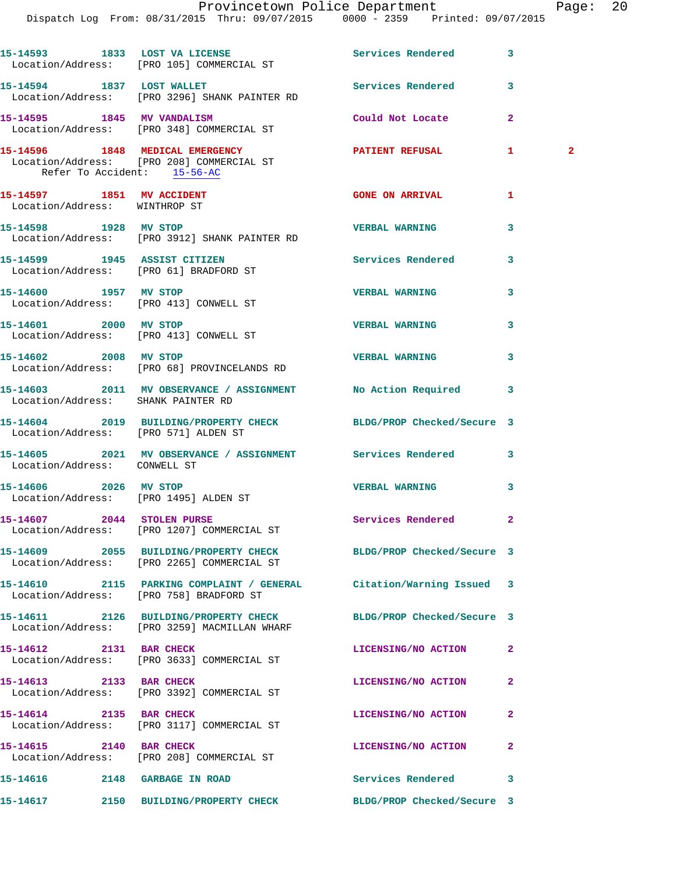|                                                            | Dispatch Log From: 08/31/2015 Thru: 09/07/2015 0000 - 2359 Printed: 09/07/2015                                 | Provincetown Police Department |                | Page:        | 20 |
|------------------------------------------------------------|----------------------------------------------------------------------------------------------------------------|--------------------------------|----------------|--------------|----|
|                                                            | 15-14593 1833 LOST VA LICENSE                                                                                  | Services Rendered 3            |                |              |    |
|                                                            | Location/Address: [PRO 105] COMMERCIAL ST<br>15-14594 1837 LOST WALLET                                         | Services Rendered              | 3              |              |    |
|                                                            | Location/Address: [PRO 3296] SHANK PAINTER RD                                                                  |                                |                |              |    |
|                                                            | 15-14595 1845 MV VANDALISM<br>Location/Address: [PRO 348] COMMERCIAL ST                                        | Could Not Locate               | $\overline{2}$ |              |    |
| Refer To Accident: 15-56-AC                                | 15-14596 1848 MEDICAL EMERGENCY<br>Location/Address: [PRO 208] COMMERCIAL ST                                   | PATIENT REFUSAL                | $\mathbf{1}$   | $\mathbf{2}$ |    |
| 15-14597 1851 MV ACCIDENT<br>Location/Address: WINTHROP ST |                                                                                                                | <b>GONE ON ARRIVAL</b>         | 1              |              |    |
|                                                            | 15-14598 1928 MV STOP<br>Location/Address: [PRO 3912] SHANK PAINTER RD                                         | <b>VERBAL WARNING</b>          | 3              |              |    |
|                                                            | 15-14599 1945 ASSIST CITIZEN<br>Location/Address: [PRO 61] BRADFORD ST                                         | Services Rendered              | 3              |              |    |
|                                                            | 15-14600 1957 MV STOP<br>Location/Address: [PRO 413] CONWELL ST                                                | <b>VERBAL WARNING</b>          | 3              |              |    |
| 15-14601 2000 MV STOP                                      | Location/Address: [PRO 413] CONWELL ST                                                                         | <b>VERBAL WARNING</b>          | 3              |              |    |
|                                                            | 15-14602 2008 MV STOP<br>Location/Address: [PRO 68] PROVINCELANDS RD                                           | <b>VERBAL WARNING</b>          | 3              |              |    |
| Location/Address: SHANK PAINTER RD                         | 15-14603 2011 MV OBSERVANCE / ASSIGNMENT No Action Required                                                    |                                | 3              |              |    |
| Location/Address: [PRO 571] ALDEN ST                       | 15-14604 2019 BUILDING/PROPERTY CHECK BLDG/PROP Checked/Secure 3                                               |                                |                |              |    |
| Location/Address: CONWELL ST                               | 15-14605 2021 MV OBSERVANCE / ASSIGNMENT Services Rendered                                                     |                                | 3              |              |    |
| 15-14606 2026 MV STOP                                      | Location/Address: [PRO 1495] ALDEN ST                                                                          | <b>VERBAL WARNING</b>          | 3              |              |    |
|                                                            | 15-14607 2044 STOLEN PURSE<br>Location/Address: [PRO 1207] COMMERCIAL ST                                       | Services Rendered              | 2              |              |    |
|                                                            | 15-14609 2055 BUILDING/PROPERTY CHECK BLDG/PROP Checked/Secure 3<br>Location/Address: [PRO 2265] COMMERCIAL ST |                                |                |              |    |
|                                                            | 15-14610 2115 PARKING COMPLAINT / GENERAL Citation/Warning Issued 3<br>Location/Address: [PRO 758] BRADFORD ST |                                |                |              |    |
|                                                            | 15-14611 2126 BUILDING/PROPERTY CHECK<br>Location/Address: [PRO 3259] MACMILLAN WHARF                          | BLDG/PROP Checked/Secure 3     |                |              |    |
| 15-14612 2131 BAR CHECK                                    | Location/Address: [PRO 3633] COMMERCIAL ST                                                                     | LICENSING/NO ACTION            | 2              |              |    |
| 15-14613 2133 BAR CHECK                                    | Location/Address: [PRO 3392] COMMERCIAL ST                                                                     | LICENSING/NO ACTION            | 2              |              |    |
| 15-14614 2135 BAR CHECK                                    | Location/Address: [PRO 3117] COMMERCIAL ST                                                                     | LICENSING/NO ACTION            | 2              |              |    |
| 15-14615 2140 BAR CHECK                                    | Location/Address: [PRO 208] COMMERCIAL ST                                                                      | LICENSING/NO ACTION            | $\mathbf{2}$   |              |    |
|                                                            |                                                                                                                | <b>Services Rendered</b>       | 3              |              |    |

**15-14617 2150 BUILDING/PROPERTY CHECK BLDG/PROP Checked/Secure 3**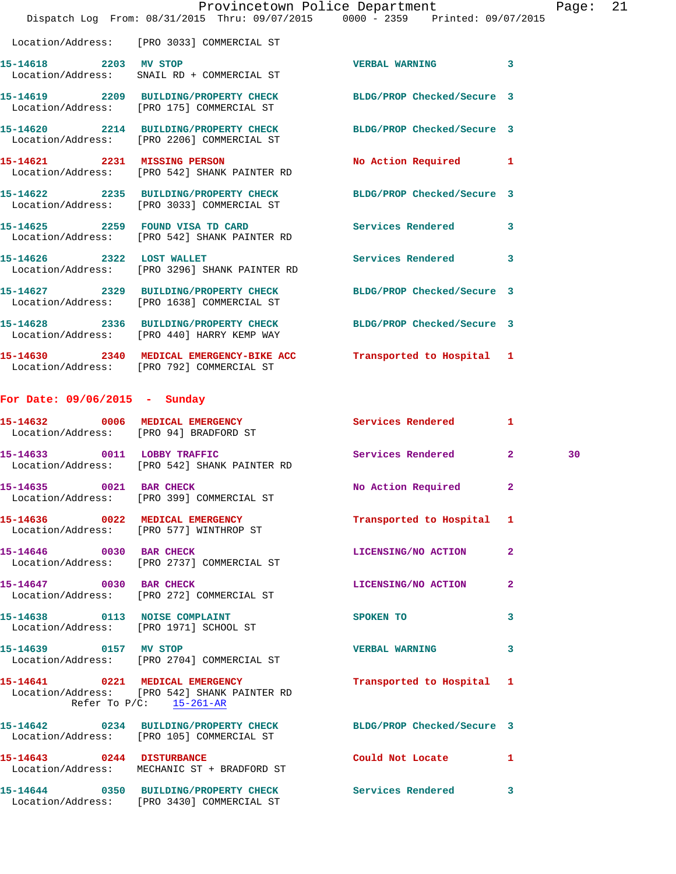|                               | Dispatch Log From: 08/31/2015 Thru: 09/07/2015 0000 - 2359 Printed: 09/07/2015                                  | Provincetown Police Department |                | Page |
|-------------------------------|-----------------------------------------------------------------------------------------------------------------|--------------------------------|----------------|------|
|                               | Location/Address: [PRO 3033] COMMERCIAL ST                                                                      |                                |                |      |
| 15-14618 2203 MV STOP         | Location/Address: SNAIL RD + COMMERCIAL ST                                                                      | <b>VERBAL WARNING</b> 3        |                |      |
|                               | 15-14619 2209 BUILDING/PROPERTY CHECK<br>Location/Address: [PRO 175] COMMERCIAL ST                              | BLDG/PROP Checked/Secure 3     |                |      |
|                               | 15-14620 2214 BUILDING/PROPERTY CHECK BLDG/PROP Checked/Secure 3<br>Location/Address: [PRO 2206] COMMERCIAL ST  |                                |                |      |
|                               | 15-14621 2231 MISSING PERSON<br>Location/Address: [PRO 542] SHANK PAINTER RD                                    | No Action Required 1           |                |      |
|                               | 15-14622 2235 BUILDING/PROPERTY CHECK BLDG/PROP Checked/Secure 3<br>Location/Address: [PRO 3033] COMMERCIAL ST  |                                |                |      |
|                               | 15-14625 2259 FOUND VISA TD CARD Services Rendered 3<br>Location/Address: [PRO 542] SHANK PAINTER RD            |                                |                |      |
|                               | 15-14626 2322 LOST WALLET Services Rendered<br>Location/Address: [PRO 3296] SHANK PAINTER RD                    |                                | 3              |      |
|                               | 15-14627 2329 BUILDING/PROPERTY CHECK BLDG/PROP Checked/Secure 3<br>Location/Address: [PRO 1638] COMMERCIAL ST  |                                |                |      |
|                               | 15-14628 2336 BUILDING/PROPERTY CHECK BLDG/PROP Checked/Secure 3<br>Location/Address: [PRO 440] HARRY KEMP WAY  |                                |                |      |
|                               | 15-14630 2340 MEDICAL EMERGENCY-BIKE ACC Transported to Hospital 1<br>Location/Address: [PRO 792] COMMERCIAL ST |                                |                |      |
| For Date: 09/06/2015 - Sunday |                                                                                                                 |                                |                |      |
|                               | 15-14632 0006 MEDICAL EMERGENCY<br>Location/Address: [PRO 94] BRADFORD ST                                       | Services Rendered 1            |                |      |
|                               | 15-14633 0011 LOBBY TRAFFIC<br>Location/Address: [PRO 542] SHANK PAINTER RD                                     | Services Rendered 2            |                | 30   |
| 15-14635 0021 BAR CHECK       | Location/Address: [PRO 399] COMMERCIAL ST                                                                       | No Action Required             | 2              |      |
|                               | 15-14636 0022 MEDICAL EMERGENCY<br>Location/Address: [PRO 577] WINTHROP ST                                      | Transported to Hospital        | 1              |      |
| 15-14646 0030 BAR CHECK       | Location/Address: [PRO 2737] COMMERCIAL ST                                                                      | LICENSING/NO ACTION            | $\overline{2}$ |      |
| 15-14647 0030 BAR CHECK       | Location/Address: [PRO 272] COMMERCIAL ST                                                                       | LICENSING/NO ACTION            | $\mathbf{2}$   |      |
| 15-14638 0113 NOISE COMPLAINT | Location/Address: [PRO 1971] SCHOOL ST                                                                          | SPOKEN TO                      | 3              |      |

**15-14639 0157 MV STOP VERBAL WARNING 3**  Location/Address: [PRO 2704] COMMERCIAL ST

**15-14641 0221 MEDICAL EMERGENCY Transported to Hospital 1**  Location/Address: [PRO 542] SHANK PAINTER RD Refer To  $P/C$ :  $15-261-AR$ 

**15-14642 0234 BUILDING/PROPERTY CHECK BLDG/PROP Checked/Secure 3**  Location/Address: [PRO 105] COMMERCIAL ST

**15-14643 0244 DISTURBANCE Could Not Locate 1**  Location/Address: MECHANIC ST + BRADFORD ST

**15-14644 0350 BUILDING/PROPERTY CHECK Services Rendered 3**  Location/Address: [PRO 3430] COMMERCIAL ST

Page: 21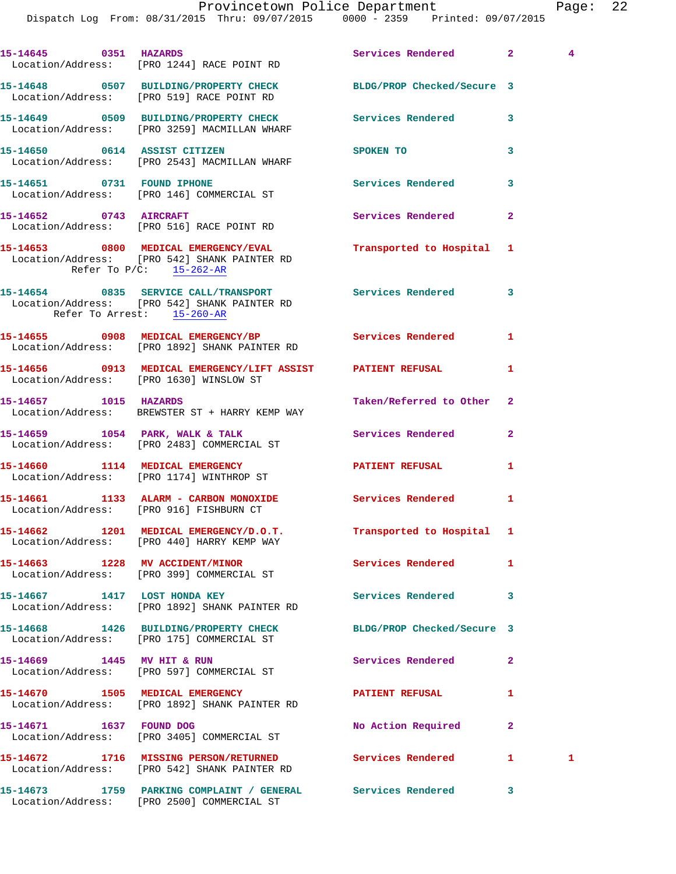| 15-14645 0351 HAZARDS      | Location/Address: [PRO 1244] RACE POINT RD                                                                                           | Services Rendered          | $2^{\circ}$    | $\frac{4}{3}$ |
|----------------------------|--------------------------------------------------------------------------------------------------------------------------------------|----------------------------|----------------|---------------|
|                            | 15-14648 0507 BUILDING/PROPERTY CHECK BLDG/PROP Checked/Secure 3<br>Location/Address: [PRO 519] RACE POINT RD                        |                            |                |               |
|                            | 15-14649 0509 BUILDING/PROPERTY CHECK Services Rendered<br>Location/Address: [PRO 3259] MACMILLAN WHARF                              |                            | 3              |               |
|                            | 15-14650 0614 ASSIST CITIZEN<br>Location/Address: [PRO 2543] MACMILLAN WHARF                                                         | SPOKEN TO                  | 3              |               |
|                            | 15-14651 0731 FOUND IPHONE<br>Location/Address: [PRO 146] COMMERCIAL ST                                                              | <b>Services Rendered</b>   | 3              |               |
|                            | 15-14652 0743 AIRCRAFT<br>Location/Address: [PRO 516] RACE POINT RD                                                                  | <b>Services Rendered</b>   | $\overline{2}$ |               |
|                            | 15-14653 0800 MEDICAL EMERGENCY/EVAL<br>Location/Address: [PRO 542] SHANK PAINTER RD<br>Refer To $P/C$ : 15-262-AR                   | Transported to Hospital 1  |                |               |
|                            | 15-14654 0835 SERVICE CALL/TRANSPORT Services Rendered<br>Location/Address: [PRO 542] SHANK PAINTER RD<br>Refer To Arrest: 15-260-AR |                            | 3              |               |
|                            | 15-14655 0908 MEDICAL EMERGENCY/BP<br>Location/Address: [PRO 1892] SHANK PAINTER RD                                                  | <b>Services Rendered</b>   | 1              |               |
|                            | 15-14656 0913 MEDICAL EMERGENCY/LIFT ASSIST PATIENT REFUSAL<br>Location/Address: [PRO 1630] WINSLOW ST                               |                            | 1              |               |
|                            | 15-14657 1015 HAZARDS<br>Location/Address: BREWSTER ST + HARRY KEMP WAY                                                              | Taken/Referred to Other    | $\mathbf{2}$   |               |
|                            | 15-14659 1054 PARK, WALK & TALK<br>Location/Address: [PRO 2483] COMMERCIAL ST                                                        | Services Rendered          | $\overline{2}$ |               |
|                            | 15-14660 1114 MEDICAL EMERGENCY<br>Location/Address: [PRO 1174] WINTHROP ST                                                          | PATIENT REFUSAL            | 1              |               |
|                            | 15-14661 1133 ALARM - CARBON MONOXIDE Services Rendered<br>Location/Address: [PRO 916] FISHBURN CT                                   |                            | 1              |               |
| 15-14662                   | 1201 MEDICAL EMERGENCY/D.O.T.<br>Location/Address: [PRO 440] HARRY KEMP WAY                                                          | Transported to Hospital    | 1              |               |
|                            | 15-14663 1228 MV ACCIDENT/MINOR<br>Location/Address: [PRO 399] COMMERCIAL ST                                                         | <b>Services Rendered</b>   | 1              |               |
|                            | 15-14667 1417 LOST HONDA KEY<br>Location/Address: [PRO 1892] SHANK PAINTER RD                                                        | Services Rendered          | 3              |               |
|                            | 15-14668 1426 BUILDING/PROPERTY CHECK<br>Location/Address: [PRO 175] COMMERCIAL ST                                                   | BLDG/PROP Checked/Secure 3 |                |               |
| 15-14669 1445 MV HIT & RUN | Location/Address: [PRO 597] COMMERCIAL ST                                                                                            | Services Rendered          | $\mathbf{2}$   |               |
|                            | 15-14670 1505 MEDICAL EMERGENCY<br>Location/Address: [PRO 1892] SHANK PAINTER RD                                                     | <b>PATIENT REFUSAL</b>     | 1              |               |
| 15-14671 1637 FOUND DOG    | Location/Address: [PRO 3405] COMMERCIAL ST                                                                                           | No Action Required         | $\overline{2}$ |               |
|                            | 15-14672 1716 MISSING PERSON/RETURNED Services Rendered<br>Location/Address: [PRO 542] SHANK PAINTER RD                              |                            | $\mathbf{1}$   | $\mathbf{1}$  |
|                            |                                                                                                                                      |                            | 3              |               |

Location/Address: [PRO 2500] COMMERCIAL ST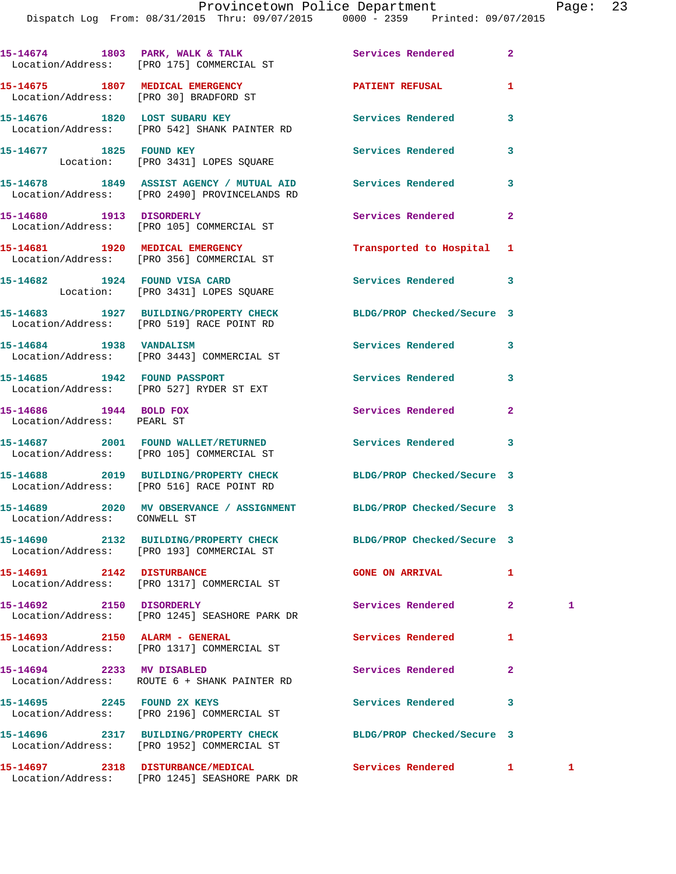|                                                      | 15-14674 1803 PARK, WALK & TALK 1999 Services Rendered<br>Location/Address: [PRO 175] COMMERCIAL ST           |                            | $\overline{a}$ |              |
|------------------------------------------------------|---------------------------------------------------------------------------------------------------------------|----------------------------|----------------|--------------|
|                                                      | 15-14675 1807 MEDICAL EMERGENCY<br>Location/Address: [PRO 30] BRADFORD ST                                     | PATIENT REFUSAL            | 1              |              |
|                                                      | 15-14676 1820 LOST SUBARU KEY<br>Location/Address: [PRO 542] SHANK PAINTER RD                                 | <b>Services Rendered</b>   | 3              |              |
| 15-14677 1825 FOUND KEY                              | Location: [PRO 3431] LOPES SQUARE                                                                             | Services Rendered          | 3              |              |
|                                                      | 15-14678 1849 ASSIST AGENCY / MUTUAL AID Services Rendered<br>Location/Address: [PRO 2490] PROVINCELANDS RD   |                            | 3              |              |
| 15-14680 1913 DISORDERLY                             | Location/Address: [PRO 105] COMMERCIAL ST                                                                     | Services Rendered          | $\overline{2}$ |              |
|                                                      | 15-14681 1920 MEDICAL EMERGENCY<br>Location/Address: [PRO 356] COMMERCIAL ST                                  | Transported to Hospital    | 1              |              |
|                                                      | 15-14682 1924 FOUND VISA CARD<br>Location: [PRO 3431] LOPES SQUARE                                            | Services Rendered          | 3              |              |
|                                                      | 15-14683 1927 BUILDING/PROPERTY CHECK BLDG/PROP Checked/Secure 3<br>Location/Address: [PRO 519] RACE POINT RD |                            |                |              |
| 15-14684 1938 VANDALISM                              | Location/Address: [PRO 3443] COMMERCIAL ST                                                                    | Services Rendered          | 3              |              |
|                                                      | 15-14685 1942 FOUND PASSPORT<br>Location/Address: [PRO 527] RYDER ST EXT                                      | Services Rendered          | 3              |              |
| 15-14686 1944 BOLD FOX<br>Location/Address: PEARL ST |                                                                                                               | Services Rendered          | $\mathbf{2}$   |              |
|                                                      | 15-14687 2001 FOUND WALLET/RETURNED<br>Location/Address: [PRO 105] COMMERCIAL ST                              | Services Rendered          | 3              |              |
|                                                      | 15-14688 2019 BUILDING/PROPERTY CHECK<br>Location/Address: [PRO 516] RACE POINT RD                            | BLDG/PROP Checked/Secure 3 |                |              |
| Location/Address: CONWELL ST                         | 15-14689 2020 MV OBSERVANCE / ASSIGNMENT BLDG/PROP Checked/Secure 3                                           |                            |                |              |
|                                                      | 15-14690 2132 BUILDING/PROPERTY CHECK<br>Location/Address: [PRO 193] COMMERCIAL ST                            | BLDG/PROP Checked/Secure 3 |                |              |
| 15-14691 2142 DISTURBANCE                            | Location/Address: [PRO 1317] COMMERCIAL ST                                                                    | <b>GONE ON ARRIVAL</b>     | 1              |              |
| 15-14692 2150 DISORDERLY                             | Location/Address: [PRO 1245] SEASHORE PARK DR                                                                 | Services Rendered          | $\overline{2}$ | 1            |
| 15-14693 2150 ALARM - GENERAL                        | Location/Address: [PRO 1317] COMMERCIAL ST                                                                    | <b>Services Rendered</b>   | 1              |              |
| 15-14694 2233 MV DISABLED                            | Location/Address: ROUTE 6 + SHANK PAINTER RD                                                                  | Services Rendered          | $\mathbf{2}$   |              |
|                                                      | 15-14695  2245  FOUND 2X KEYS<br>Location/Address: [PRO 2196] COMMERCIAL ST                                   | <b>Services Rendered</b>   | 3              |              |
|                                                      | 15-14696 2317 BUILDING/PROPERTY CHECK<br>Location/Address: [PRO 1952] COMMERCIAL ST                           | BLDG/PROP Checked/Secure 3 |                |              |
|                                                      |                                                                                                               | Services Rendered 1        |                | $\mathbf{1}$ |

Location/Address: [PRO 1245] SEASHORE PARK DR